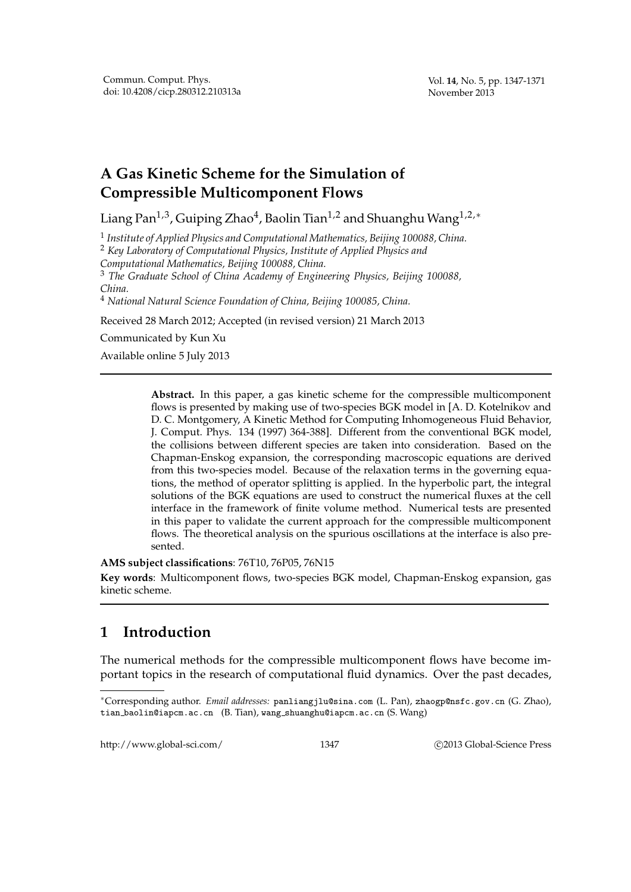# **A Gas Kinetic Scheme for the Simulation of Compressible Multicomponent Flows**

Liang Pan $^{1,3}$ , Guiping Zhao $^4$ , Baolin Tian $^{1,2}$  and Shuanghu Wang $^{1,2,*}$ 

1 *Institute of Applied Physics and Computational Mathematics, Beijing 100088, China.*

<sup>2</sup> *Key Laboratory of Computational Physics, Institute of Applied Physics and*

*Computational Mathematics, Beijing 100088, China.*

<sup>3</sup> *The Graduate School of China Academy of Engineering Physics, Beijing 100088, China.*

<sup>4</sup> *National Natural Science Foundation of China, Beijing 100085, China.*

Received 28 March 2012; Accepted (in revised version) 21 March 2013

Communicated by Kun Xu

Available online 5 July 2013

**Abstract.** In this paper, a gas kinetic scheme for the compressible multicomponent flows is presented by making use of two-species BGK model in [A. D. Kotelnikov and D. C. Montgomery, A Kinetic Method for Computing Inhomogeneous Fluid Behavior, J. Comput. Phys. 134 (1997) 364-388]. Different from the conventional BGK model, the collisions between different species are taken into consideration. Based on the Chapman-Enskog expansion, the corresponding macroscopic equations are derived from this two-species model. Because of the relaxation terms in the governing equations, the method of operator splitting is applied. In the hyperbolic part, the integral solutions of the BGK equations are used to construct the numerical fluxes at the cell interface in the framework of finite volume method. Numerical tests are presented in this paper to validate the current approach for the compressible multicomponent flows. The theoretical analysis on the spurious oscillations at the interface is also presented.

**AMS subject classifications**: 76T10, 76P05, 76N15

**Key words**: Multicomponent flows, two-species BGK model, Chapman-Enskog expansion, gas kinetic scheme.

# **1 Introduction**

The numerical methods for the compressible multicomponent flows have become important topics in the research of computational fluid dynamics. Over the past decades,

http://www.global-sci.com/ 1347 © 2013 Global-Science Press

<sup>∗</sup>Corresponding author. *Email addresses:* panliangjlu@sina.com (L. Pan), zhaogp@nsfc.gov.cn (G. Zhao), tian baolin@iapcm.ac.cn (B. Tian), wang shuanghu@iapcm.ac.cn (S. Wang)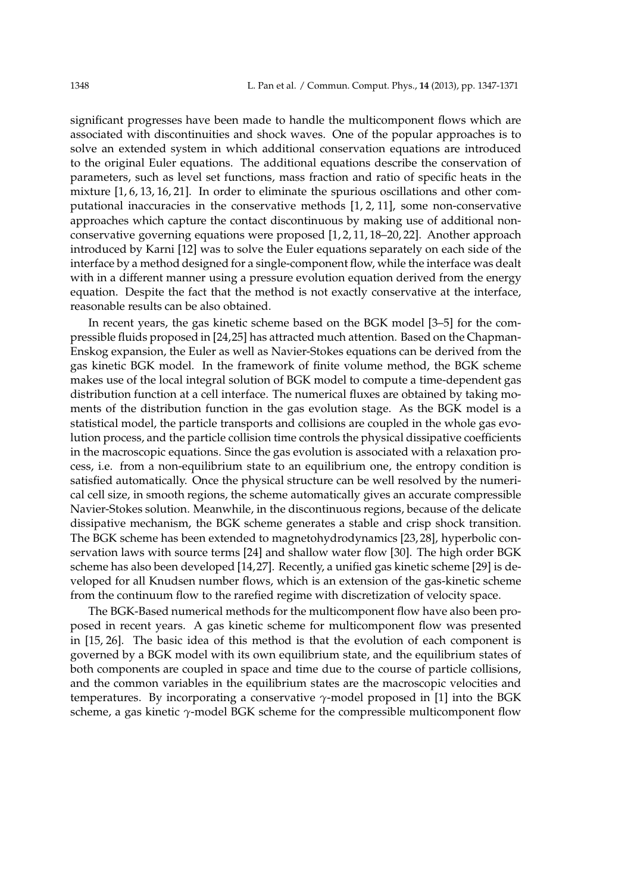significant progresses have been made to handle the multicomponent flows which are associated with discontinuities and shock waves. One of the popular approaches is to solve an extended system in which additional conservation equations are introduced to the original Euler equations. The additional equations describe the conservation of parameters, such as level set functions, mass fraction and ratio of specific heats in the mixture [1, 6, 13, 16, 21]. In order to eliminate the spurious oscillations and other computational inaccuracies in the conservative methods [1, 2, 11], some non-conservative approaches which capture the contact discontinuous by making use of additional nonconservative governing equations were proposed [1, 2, 11, 18–20, 22]. Another approach introduced by Karni [12] was to solve the Euler equations separately on each side of the interface by a method designed for a single-component flow, while the interface was dealt with in a different manner using a pressure evolution equation derived from the energy equation. Despite the fact that the method is not exactly conservative at the interface, reasonable results can be also obtained.

In recent years, the gas kinetic scheme based on the BGK model [3–5] for the compressible fluids proposed in [24,25] has attracted much attention. Based on the Chapman-Enskog expansion, the Euler as well as Navier-Stokes equations can be derived from the gas kinetic BGK model. In the framework of finite volume method, the BGK scheme makes use of the local integral solution of BGK model to compute a time-dependent gas distribution function at a cell interface. The numerical fluxes are obtained by taking moments of the distribution function in the gas evolution stage. As the BGK model is a statistical model, the particle transports and collisions are coupled in the whole gas evolution process, and the particle collision time controls the physical dissipative coefficients in the macroscopic equations. Since the gas evolution is associated with a relaxation process, i.e. from a non-equilibrium state to an equilibrium one, the entropy condition is satisfied automatically. Once the physical structure can be well resolved by the numerical cell size, in smooth regions, the scheme automatically gives an accurate compressible Navier-Stokes solution. Meanwhile, in the discontinuous regions, because of the delicate dissipative mechanism, the BGK scheme generates a stable and crisp shock transition. The BGK scheme has been extended to magnetohydrodynamics [23, 28], hyperbolic conservation laws with source terms [24] and shallow water flow [30]. The high order BGK scheme has also been developed [14,27]. Recently, a unified gas kinetic scheme [29] is developed for all Knudsen number flows, which is an extension of the gas-kinetic scheme from the continuum flow to the rarefied regime with discretization of velocity space.

The BGK-Based numerical methods for the multicomponent flow have also been proposed in recent years. A gas kinetic scheme for multicomponent flow was presented in [15, 26]. The basic idea of this method is that the evolution of each component is governed by a BGK model with its own equilibrium state, and the equilibrium states of both components are coupled in space and time due to the course of particle collisions, and the common variables in the equilibrium states are the macroscopic velocities and temperatures. By incorporating a conservative *γ*-model proposed in [1] into the BGK scheme, a gas kinetic *γ*-model BGK scheme for the compressible multicomponent flow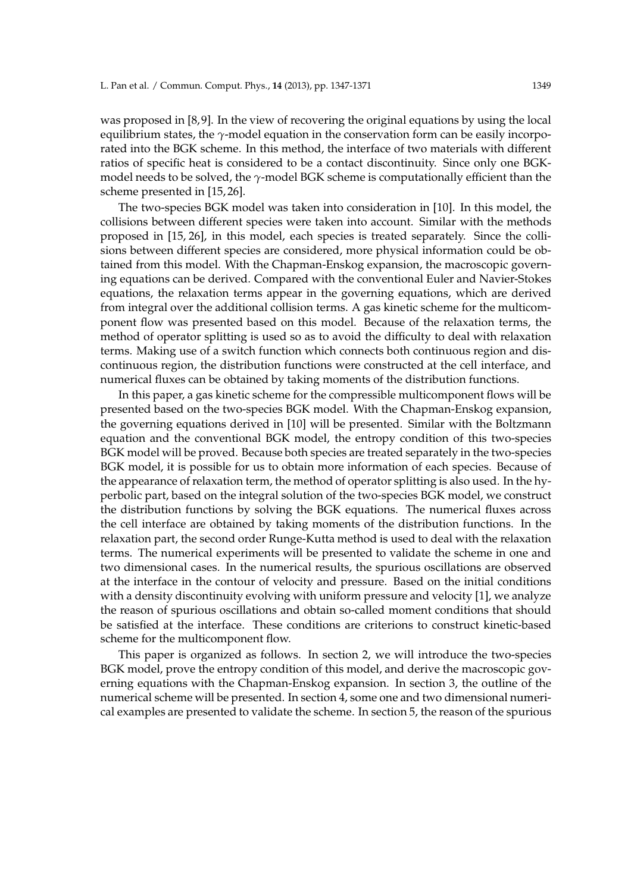was proposed in [8,9]. In the view of recovering the original equations by using the local equilibrium states, the *γ*-model equation in the conservation form can be easily incorporated into the BGK scheme. In this method, the interface of two materials with different ratios of specific heat is considered to be a contact discontinuity. Since only one BGKmodel needs to be solved, the *γ*-model BGK scheme is computationally efficient than the scheme presented in [15, 26].

The two-species BGK model was taken into consideration in [10]. In this model, the collisions between different species were taken into account. Similar with the methods proposed in [15, 26], in this model, each species is treated separately. Since the collisions between different species are considered, more physical information could be obtained from this model. With the Chapman-Enskog expansion, the macroscopic governing equations can be derived. Compared with the conventional Euler and Navier-Stokes equations, the relaxation terms appear in the governing equations, which are derived from integral over the additional collision terms. A gas kinetic scheme for the multicomponent flow was presented based on this model. Because of the relaxation terms, the method of operator splitting is used so as to avoid the difficulty to deal with relaxation terms. Making use of a switch function which connects both continuous region and discontinuous region, the distribution functions were constructed at the cell interface, and numerical fluxes can be obtained by taking moments of the distribution functions.

In this paper, a gas kinetic scheme for the compressible multicomponent flows will be presented based on the two-species BGK model. With the Chapman-Enskog expansion, the governing equations derived in [10] will be presented. Similar with the Boltzmann equation and the conventional BGK model, the entropy condition of this two-species BGK model will be proved. Because both species are treated separately in the two-species BGK model, it is possible for us to obtain more information of each species. Because of the appearance of relaxation term, the method of operator splitting is also used. In the hyperbolic part, based on the integral solution of the two-species BGK model, we construct the distribution functions by solving the BGK equations. The numerical fluxes across the cell interface are obtained by taking moments of the distribution functions. In the relaxation part, the second order Runge-Kutta method is used to deal with the relaxation terms. The numerical experiments will be presented to validate the scheme in one and two dimensional cases. In the numerical results, the spurious oscillations are observed at the interface in the contour of velocity and pressure. Based on the initial conditions with a density discontinuity evolving with uniform pressure and velocity [1], we analyze the reason of spurious oscillations and obtain so-called moment conditions that should be satisfied at the interface. These conditions are criterions to construct kinetic-based scheme for the multicomponent flow.

This paper is organized as follows. In section 2, we will introduce the two-species BGK model, prove the entropy condition of this model, and derive the macroscopic governing equations with the Chapman-Enskog expansion. In section 3, the outline of the numerical scheme will be presented. In section 4, some one and two dimensional numerical examples are presented to validate the scheme. In section 5, the reason of the spurious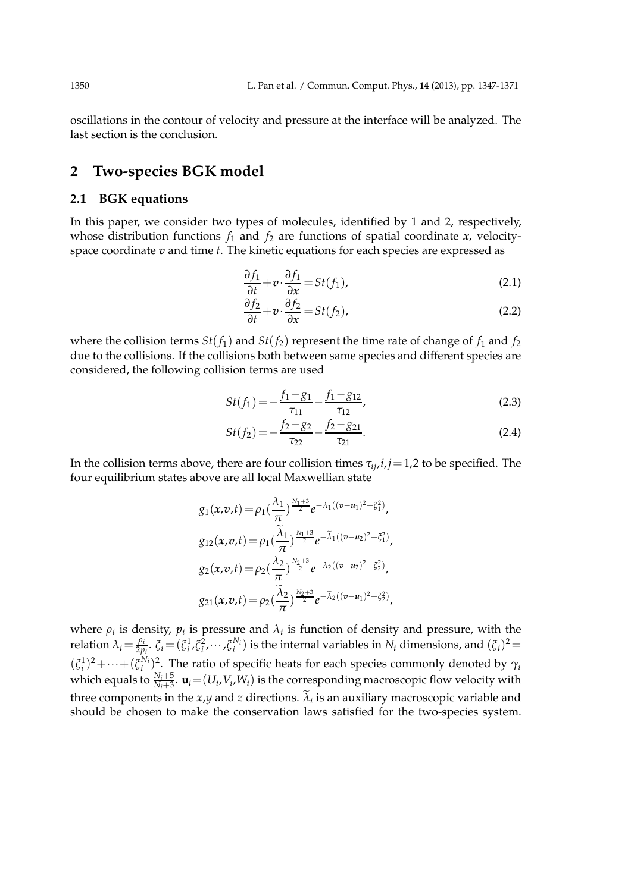oscillations in the contour of velocity and pressure at the interface will be analyzed. The last section is the conclusion.

## **2 Two-species BGK model**

### **2.1 BGK equations**

In this paper, we consider two types of molecules, identified by 1 and 2, respectively, whose distribution functions  $f_1$  and  $f_2$  are functions of spatial coordinate  $x$ , velocityspace coordinate *v* and time *t*. The kinetic equations for each species are expressed as

$$
\frac{\partial f_1}{\partial t} + v \cdot \frac{\partial f_1}{\partial x} = St(f_1),\tag{2.1}
$$

$$
\frac{\partial f_2}{\partial t} + v \cdot \frac{\partial f_2}{\partial x} = St(f_2),\tag{2.2}
$$

where the collision terms  $St(f_1)$  and  $St(f_2)$  represent the time rate of change of  $f_1$  and  $f_2$ due to the collisions. If the collisions both between same species and different species are considered, the following collision terms are used

$$
St(f_1) = -\frac{f_1 - g_1}{\tau_{11}} - \frac{f_1 - g_{12}}{\tau_{12}},
$$
\n(2.3)

$$
St(f_2) = -\frac{f_2 - g_2}{\tau_{22}} - \frac{f_2 - g_{21}}{\tau_{21}}.
$$
\n(2.4)

In the collision terms above, there are four collision times *τij*,*i*,*j*=1,2 to be specified. The four equilibrium states above are all local Maxwellian state

$$
g_1(x,v,t) = \rho_1(\frac{\lambda_1}{\pi})^{\frac{N_1+3}{2}} e^{-\lambda_1((v-u_1)^2 + \xi_1^2)},
$$
  
\n
$$
g_{12}(x,v,t) = \rho_1(\frac{\tilde{\lambda}_1}{\pi})^{\frac{N_1+3}{2}} e^{-\tilde{\lambda}_1((v-u_2)^2 + \xi_1^2)},
$$
  
\n
$$
g_2(x,v,t) = \rho_2(\frac{\lambda_2}{\pi})^{\frac{N_2+3}{2}} e^{-\lambda_2((v-u_2)^2 + \xi_2^2)},
$$
  
\n
$$
g_{21}(x,v,t) = \rho_2(\frac{\tilde{\lambda}_2}{\pi})^{\frac{N_2+3}{2}} e^{-\tilde{\lambda}_2((v-u_1)^2 + \xi_2^2)},
$$

where  $\rho_i$  is density,  $p_i$  is pressure and  $\lambda_i$  is function of density and pressure, with the relation  $\lambda_i = \frac{\rho_i}{2\nu_i}$  $\frac{\rho_i}{2p_i}$ .  $\xi_i = (\xi_i^1, \xi_i^2, \cdots, \xi_i^{N_i})$  is the internal variables in  $N_i$  dimensions, and  $(\xi_i)^2$  =  $(\xi_i^1)^2 + \cdots + (\xi_i^{N_i})^2$ . The ratio of specific heats for each species commonly denoted by  $\gamma_i$ which equals to  $\frac{N_i+5}{N_i+3}$ .  $\mathbf{u}_i = (U_i, V_i, W_i)$  is the corresponding macroscopic flow velocity with three components in the *x*,*y* and *z* directions.  $\lambda_i$  is an auxiliary macroscopic variable and should be chosen to make the conservation laws satisfied for the two-species system.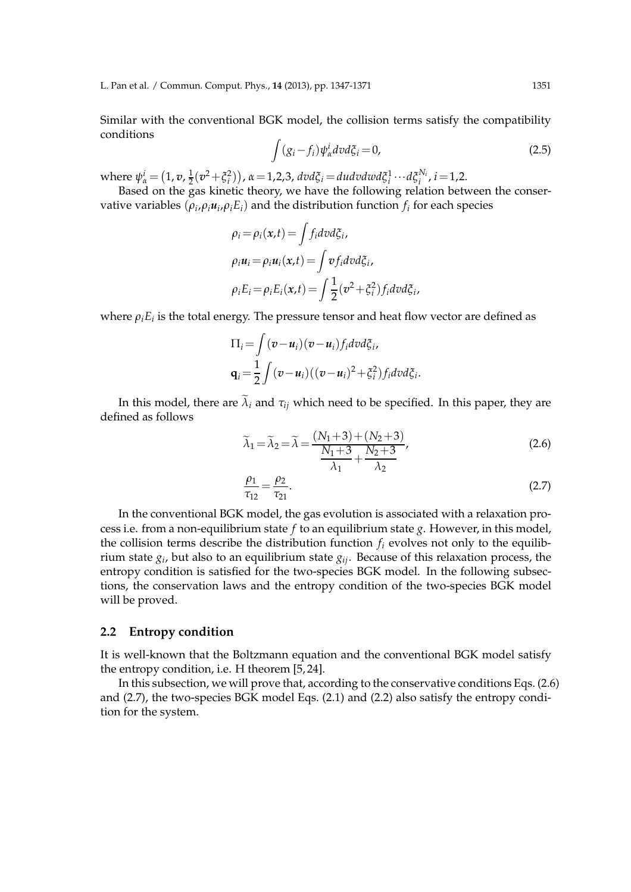Similar with the conventional BGK model, the collision terms satisfy the compatibility conditions

$$
\int (g_i - f_i) \psi_{\alpha}^i d\upsilon d\xi_i = 0,
$$
\n(2.5)

where  $\psi^i_{\alpha} = (1, v, \frac{1}{2})$  $\frac{1}{2}(v^2+\xi_i^2)$ ),  $\alpha = 1,2,3$ ,  $dv d\xi_i = du dv dw d\xi_i^1 \cdots d\xi_i^{N_i}$ ,  $i = 1,2$ .

Based on the gas kinetic theory, we have the following relation between the conservative variables  $(\rho_i, \rho_i u_i, \rho_i E_i)$  and the distribution function  $f_i$  for each species

$$
\rho_i = \rho_i(x, t) = \int f_i dv d\xi_i,
$$
  
\n
$$
\rho_i u_i = \rho_i u_i(x, t) = \int v f_i dv d\xi_i,
$$
  
\n
$$
\rho_i E_i = \rho_i E_i(x, t) = \int \frac{1}{2} (v^2 + \xi_i^2) f_i dv d\xi_i,
$$

where  $\rho_i E_i$  is the total energy. The pressure tensor and heat flow vector are defined as

$$
\Pi_i = \int (\boldsymbol{v} - \boldsymbol{u}_i)(\boldsymbol{v} - \boldsymbol{u}_i) f_i d\sigma d\xi_i,
$$
  

$$
\mathbf{q}_i = \frac{1}{2} \int (\boldsymbol{v} - \boldsymbol{u}_i)((\boldsymbol{v} - \boldsymbol{u}_i)^2 + \xi_i^2) f_i d\sigma d\xi_i
$$

In this model, there are  $\tilde{\lambda}_i$  and  $\tau_{ij}$  which need to be specified. In this paper, they are defined as follows

$$
\widetilde{\lambda}_1 = \widetilde{\lambda}_2 = \widetilde{\lambda} = \frac{(N_1 + 3) + (N_2 + 3)}{N_1 + 3 + N_2 + 3},\tag{2.6}
$$

.

$$
\frac{\rho_1}{\tau_{12}} = \frac{\rho_2}{\tau_{21}}.
$$
\n
$$
(2.7)
$$

In the conventional BGK model, the gas evolution is associated with a relaxation process i.e. from a non-equilibrium state *f* to an equilibrium state *g*. However, in this model, the collision terms describe the distribution function  $f_i$  evolves not only to the equilibrium state *g<sup>i</sup>* , but also to an equilibrium state *gij*. Because of this relaxation process, the entropy condition is satisfied for the two-species BGK model. In the following subsections, the conservation laws and the entropy condition of the two-species BGK model will be proved.

### **2.2 Entropy condition**

It is well-known that the Boltzmann equation and the conventional BGK model satisfy the entropy condition, i.e. H theorem [5, 24].

In this subsection, we will prove that, according to the conservative conditions Eqs. (2.6) and (2.7), the two-species BGK model Eqs. (2.1) and (2.2) also satisfy the entropy condition for the system.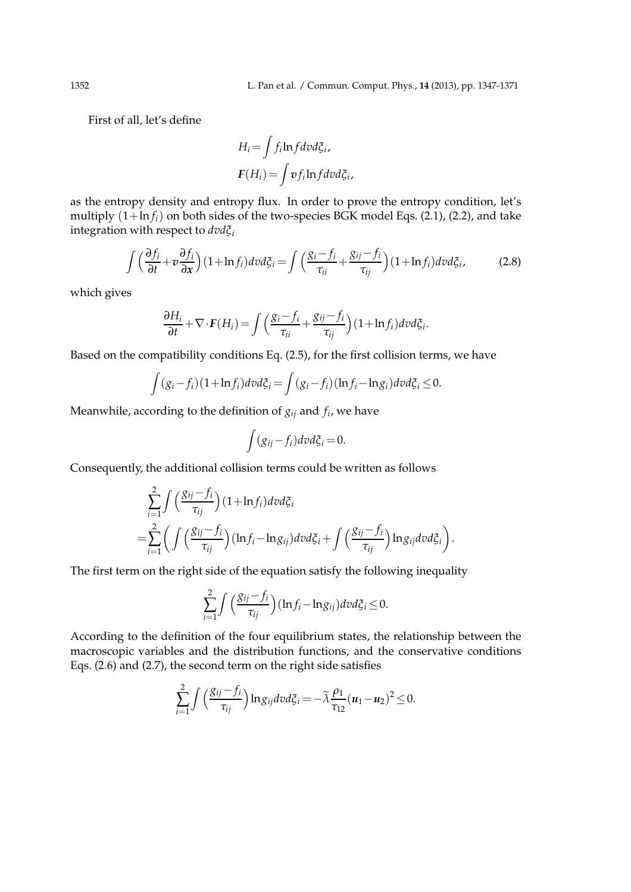First of all, let's define

$$
H_i = \int f_i \ln f \, dv \, d\xi_i,
$$
  

$$
F(H_i) = \int v f_i \ln f \, dv \, d\xi_i,
$$

as the entropy density and entropy flux. In order to prove the entropy condition, let's multiply  $(1 + \ln f_i)$  on both sides of the two-species BGK model Eqs. (2.1), (2.2), and take integration with respect to *dvdξ<sup>i</sup>*

$$
\int \left(\frac{\partial f_i}{\partial t} + v \frac{\partial f_i}{\partial x}\right) (1 + \ln f_i) dv d\xi_i = \int \left(\frac{g_i - f_i}{\tau_{ii}} + \frac{g_{ij} - f_i}{\tau_{ij}}\right) (1 + \ln f_i) dv d\xi_i, \tag{2.8}
$$

which gives

$$
\frac{\partial H_i}{\partial t} + \nabla \cdot \mathbf{F}(H_i) = \int \left( \frac{g_i - f_i}{\tau_{ii}} + \frac{g_{ij} - f_i}{\tau_{ij}} \right) (1 + \ln f_i) d\sigma d\xi_i.
$$

Based on the compatibility conditions Eq. (2.5), for the first collision terms, we have

$$
\int (g_i - f_i)(1 + \ln f_i) d\sigma d\xi_i = \int (g_i - f_i)(\ln f_i - \ln g_i) d\sigma d\xi_i \leq 0.
$$

Meanwhile, according to the definition of *gij* and *f<sup>i</sup>* , we have

$$
\int (g_{ij} - f_i) d\sigma d\xi_i = 0.
$$

Consequently, the additional collision terms could be written as follows

$$
\sum_{i=1}^{2} \int \left( \frac{g_{ij} - f_i}{\tau_{ij}} \right) (1 + \ln f_i) d\sigma d\xi_i
$$
\n
$$
= \sum_{i=1}^{2} \left( \int \left( \frac{g_{ij} - f_i}{\tau_{ij}} \right) (\ln f_i - \ln g_{ij}) d\sigma d\xi_i + \int \left( \frac{g_{ij} - f_i}{\tau_{ij}} \right) \ln g_{ij} d\sigma d\xi_i \right).
$$

The first term on the right side of the equation satisfy the following inequality

$$
\sum_{i=1}^{2} \int \left( \frac{g_{ij} - f_i}{\tau_{ij}} \right) (\ln f_i - \ln g_{ij}) d\sigma d\xi_i \leq 0.
$$

According to the definition of the four equilibrium states, the relationship between the macroscopic variables and the distribution functions, and the conservative conditions Eqs. (2.6) and (2.7), the second term on the right side satisfies

$$
\sum_{i=1}^2 \int \left( \frac{g_{ij} - f_i}{\tau_{ij}} \right) \ln g_{ij} dv d\xi_i = -\widetilde{\lambda} \frac{\rho_1}{\tau_{12}} (u_1 - u_2)^2 \leq 0.
$$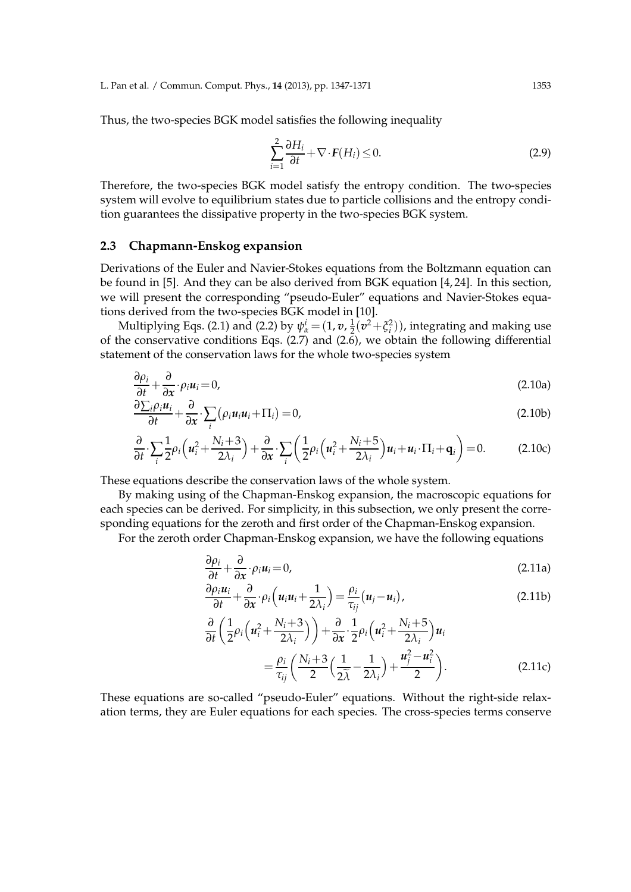Thus, the two-species BGK model satisfies the following inequality

$$
\sum_{i=1}^{2} \frac{\partial H_i}{\partial t} + \nabla \cdot \mathbf{F}(H_i) \le 0.
$$
\n(2.9)

Therefore, the two-species BGK model satisfy the entropy condition. The two-species system will evolve to equilibrium states due to particle collisions and the entropy condition guarantees the dissipative property in the two-species BGK system.

#### **2.3 Chapmann-Enskog expansion**

Derivations of the Euler and Navier-Stokes equations from the Boltzmann equation can be found in [5]. And they can be also derived from BGK equation [4, 24]. In this section, we will present the corresponding "pseudo-Euler" equations and Navier-Stokes equations derived from the two-species BGK model in [10].

Multiplying Eqs. (2.1) and (2.2) by  $\psi^i_\alpha = (1, v, \frac{1}{2})$  $\frac{1}{2}(v^2+\zeta_i^2)$ ), integrating and making use of the conservative conditions Eqs. (2.7) and (2.6), we obtain the following differential statement of the conservation laws for the whole two-species system

$$
\frac{\partial \rho_i}{\partial t} + \frac{\partial}{\partial x} \cdot \rho_i u_i = 0, \tag{2.10a}
$$

$$
\frac{\partial \sum_{i} \rho_{i} u_{i}}{\partial t} + \frac{\partial}{\partial x} \cdot \sum_{i} (\rho_{i} u_{i} u_{i} + \Pi_{i}) = 0,
$$
\n(2.10b)

$$
\frac{\partial}{\partial t} \cdot \sum_{i} \frac{1}{2} \rho_i \left( u_i^2 + \frac{N_i + 3}{2\lambda_i} \right) + \frac{\partial}{\partial x} \cdot \sum_{i} \left( \frac{1}{2} \rho_i \left( u_i^2 + \frac{N_i + 5}{2\lambda_i} \right) u_i + u_i \cdot \Pi_i + \mathbf{q}_i \right) = 0. \tag{2.10c}
$$

These equations describe the conservation laws of the whole system.

By making using of the Chapman-Enskog expansion, the macroscopic equations for each species can be derived. For simplicity, in this subsection, we only present the corresponding equations for the zeroth and first order of the Chapman-Enskog expansion.

For the zeroth order Chapman-Enskog expansion, we have the following equations

$$
\frac{\partial \rho_i}{\partial t} + \frac{\partial}{\partial x} \cdot \rho_i u_i = 0, \tag{2.11a}
$$

$$
\frac{\partial \rho_i u_i}{\partial t} + \frac{\partial}{\partial x} \cdot \rho_i \left( u_i u_i + \frac{1}{2\lambda_i} \right) = \frac{\rho_i}{\tau_{ij}} \left( u_j - u_i \right), \tag{2.11b}
$$

$$
\frac{\partial}{\partial t} \left( \frac{1}{2} \rho_i \left( u_i^2 + \frac{N_i + 3}{2\lambda_i} \right) \right) + \frac{\partial}{\partial x} \cdot \frac{1}{2} \rho_i \left( u_i^2 + \frac{N_i + 5}{2\lambda_i} \right) u_i
$$
\n
$$
= \frac{\rho_i}{\tau_{ij}} \left( \frac{N_i + 3}{2} \left( \frac{1}{2\tilde{\lambda}} - \frac{1}{2\lambda_i} \right) + \frac{u_j^2 - u_i^2}{2} \right). \tag{2.11c}
$$

These equations are so-called "pseudo-Euler" equations. Without the right-side relaxation terms, they are Euler equations for each species. The cross-species terms conserve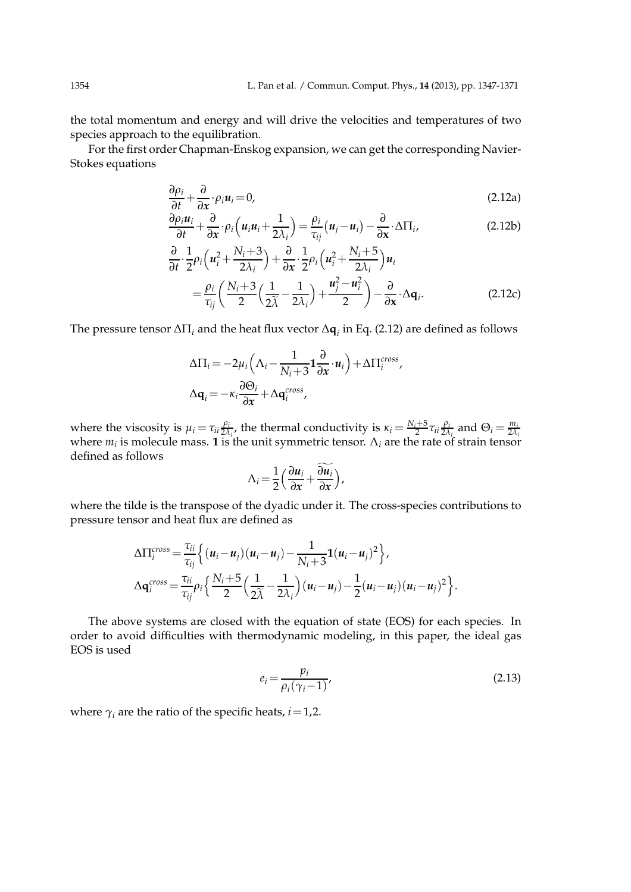the total momentum and energy and will drive the velocities and temperatures of two species approach to the equilibration.

For the first order Chapman-Enskog expansion, we can get the corresponding Navier-Stokes equations

$$
\frac{\partial \rho_i}{\partial t} + \frac{\partial}{\partial x} \cdot \rho_i u_i = 0,
$$
\n(2.12a)

$$
\frac{\partial \rho_i u_i}{\partial t} + \frac{\partial}{\partial x} \cdot \rho_i \left( u_i u_i + \frac{1}{2\lambda_i} \right) = \frac{\rho_i}{\tau_{ij}} (u_j - u_i) - \frac{\partial}{\partial x} \cdot \Delta \Pi_i,
$$
\n(2.12b)\n
$$
\frac{\partial}{\partial t} \cdot \frac{1}{2} \left( \frac{\partial}{\partial x_i} \cdot \frac{1}{2} \right) = \frac{\rho_i}{\tau_{ij}} (u_j - u_i) - \frac{\partial}{\partial x} \cdot \Delta \Pi_i,
$$

$$
\frac{\partial}{\partial t} \cdot \frac{1}{2} \rho_i \left( u_i^2 + \frac{N_i + 3}{2\lambda_i} \right) + \frac{\partial}{\partial x} \cdot \frac{1}{2} \rho_i \left( u_i^2 + \frac{N_i + 5}{2\lambda_i} \right) u_i
$$
\n
$$
= \frac{\rho_i}{\tau_{ij}} \left( \frac{N_i + 3}{2} \left( \frac{1}{2\tilde{\lambda}} - \frac{1}{2\lambda_i} \right) + \frac{u_j^2 - u_i^2}{2} \right) - \frac{\partial}{\partial x} \cdot \Delta \mathbf{q}_i.
$$
\n(2.12c)

The pressure tensor ∆Π*<sup>i</sup>* and the heat flux vector ∆**q***<sup>i</sup>* in Eq. (2.12) are defined as follows

$$
\Delta \Pi_i = -2\mu_i \left( \Lambda_i - \frac{1}{N_i + 3} \mathbf{1} \frac{\partial}{\partial x} \cdot u_i \right) + \Delta \Pi_i^{cross},
$$
  

$$
\Delta \mathbf{q}_i = -\kappa_i \frac{\partial \Theta_i}{\partial x} + \Delta \mathbf{q}_i^{cross},
$$

where the viscosity is  $\mu_i = \tau_{ii} \frac{\rho_i}{2\lambda}$  $\frac{\rho_i}{2\lambda_i}$ , the thermal conductivity is  $\kappa_i = \frac{N_i+5}{2}\tau_{ii}\frac{\rho_i}{2\lambda_i}$  $\frac{\rho_i}{2\lambda_i}$  and  $\Theta_i = \frac{m_i}{2\lambda_i}$ where the viscosity is  $\mu_1 = \mu_1 \frac{2\lambda_i}{\lambda_i}$ , the thermal conductivity is  $\frac{2\lambda_i}{\lambda_i} = \frac{2\lambda_i}{\lambda_i} \frac{2\lambda_i}{\lambda_i}$  and  $C_i = \frac{2\lambda_i}{\lambda_i}$ . defined as follows

$$
\Lambda_i = \frac{1}{2} \left( \frac{\partial u_i}{\partial x} + \frac{\widetilde{\partial u_i}}{\partial x} \right),
$$

where the tilde is the transpose of the dyadic under it. The cross-species contributions to pressure tensor and heat flux are defined as

$$
\Delta\Pi_i^{cross} = \frac{\tau_{ii}}{\tau_{ij}} \Big\{ (u_i - u_j)(u_i - u_j) - \frac{1}{N_i + 3} \mathbf{1} (u_i - u_j)^2 \Big\},
$$
  

$$
\Delta \mathbf{q}_i^{cross} = \frac{\tau_{ii}}{\tau_{ij}} \rho_i \Big\{ \frac{N_i + 5}{2} \Big( \frac{1}{2\tilde{\lambda}} - \frac{1}{2\lambda_i} \Big) (u_i - u_j) - \frac{1}{2} (u_i - u_j) (u_i - u_j)^2 \Big\}.
$$

The above systems are closed with the equation of state (EOS) for each species. In order to avoid difficulties with thermodynamic modeling, in this paper, the ideal gas EOS is used

$$
e_i = \frac{p_i}{\rho_i(\gamma_i - 1)},\tag{2.13}
$$

where  $\gamma_i$  are the ratio of the specific heats,  $i = 1,2$ .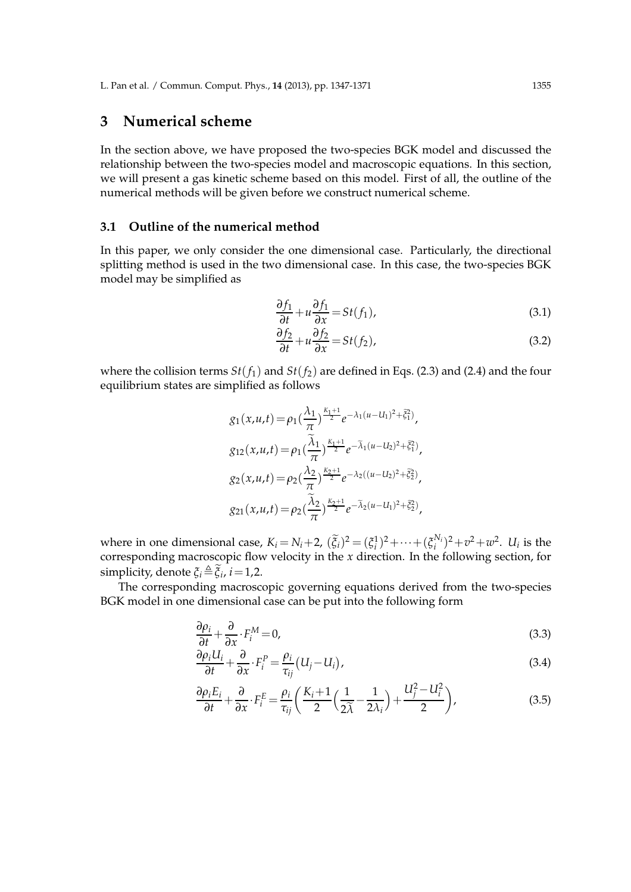## **3 Numerical scheme**

In the section above, we have proposed the two-species BGK model and discussed the relationship between the two-species model and macroscopic equations. In this section, we will present a gas kinetic scheme based on this model. First of all, the outline of the numerical methods will be given before we construct numerical scheme.

### **3.1 Outline of the numerical method**

In this paper, we only consider the one dimensional case. Particularly, the directional splitting method is used in the two dimensional case. In this case, the two-species BGK model may be simplified as

$$
\frac{\partial f_1}{\partial t} + u \frac{\partial f_1}{\partial x} = St(f_1),\tag{3.1}
$$

$$
\frac{\partial f_2}{\partial t} + u \frac{\partial f_2}{\partial x} = St(f_2),\tag{3.2}
$$

where the collision terms  $St(f_1)$  and  $St(f_2)$  are defined in Eqs. (2.3) and (2.4) and the four equilibrium states are simplified as follows

$$
g_1(x, u, t) = \rho_1 \left(\frac{\lambda_1}{\pi}\right)^{\frac{K_1+1}{2}} e^{-\lambda_1 (u - U_1)^2 + \tilde{\xi}_1^2},
$$
  
\n
$$
g_{12}(x, u, t) = \rho_1 \left(\frac{\tilde{\lambda}_1}{\pi}\right)^{\frac{K_1+1}{2}} e^{-\tilde{\lambda}_1 (u - U_2)^2 + \tilde{\xi}_1^2},
$$
  
\n
$$
g_2(x, u, t) = \rho_2 \left(\frac{\lambda_2}{\pi}\right)^{\frac{K_2+1}{2}} e^{-\lambda_2 ((u - U_2)^2 + \tilde{\xi}_2^2)},
$$
  
\n
$$
g_{21}(x, u, t) = \rho_2 \left(\frac{\tilde{\lambda}_2}{\pi}\right)^{\frac{K_2+1}{2}} e^{-\tilde{\lambda}_2 (u - U_1)^2 + \tilde{\xi}_2^2},
$$

where in one dimensional case,  $K_i = N_i + 2$ ,  $(\tilde{\xi}_i)^2 = (\xi_i^1)^2 + \cdots + (\xi_i^{N_i})^2 + v^2 + w^2$ .  $U_i$  is the corresponding macroscopic flow velocity in the *x* direction. In the following section, for simplicity, denote  $\xi_i \triangleq \tilde{\xi}_i$ ,  $i = 1,2$ .

The corresponding macroscopic governing equations derived from the two-species BGK model in one dimensional case can be put into the following form

$$
\frac{\partial \rho_i}{\partial t} + \frac{\partial}{\partial x} \cdot F_i^M = 0,\tag{3.3}
$$

$$
\frac{\partial \rho_i U_i}{\partial t} + \frac{\partial}{\partial x} \cdot F_i^P = \frac{\rho_i}{\tau_{ij}} (U_j - U_i), \tag{3.4}
$$

$$
\frac{\partial \rho_i E_i}{\partial t} + \frac{\partial}{\partial x} \cdot F_i^E = \frac{\rho_i}{\tau_{ij}} \left( \frac{K_i + 1}{2} \left( \frac{1}{2\tilde{\lambda}} - \frac{1}{2\lambda_i} \right) + \frac{U_j^2 - U_i^2}{2} \right),\tag{3.5}
$$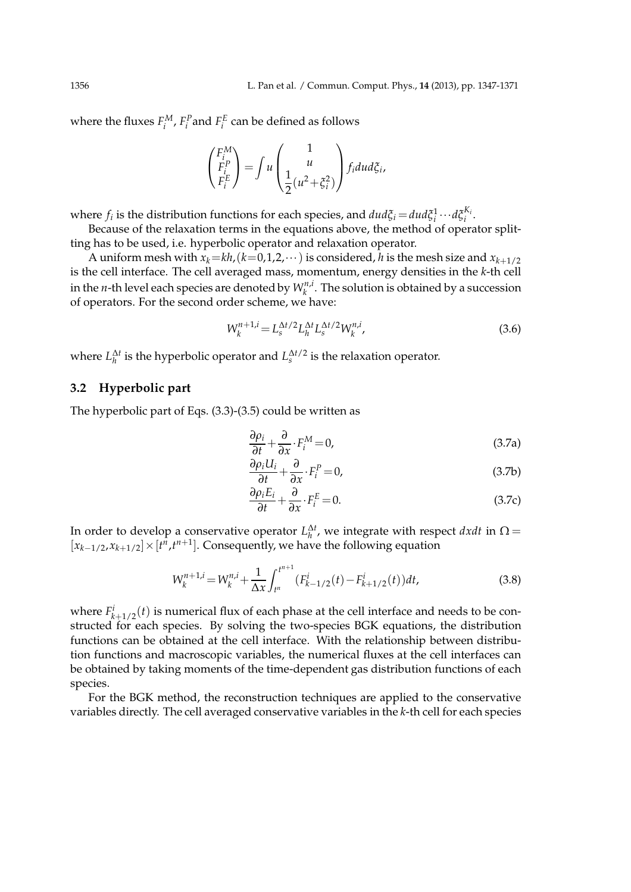where the fluxes  $F_i^M$ ,  $F_i^P$  and  $F_i^E$  can be defined as follows

$$
\begin{pmatrix} F_i^M \\ F_i^P \\ F_i^E \end{pmatrix} = \int u \begin{pmatrix} 1 \\ u \\ \frac{1}{2} (u^2 + \xi_i^2) \end{pmatrix} f_i du d\xi_i,
$$

where  $f_i$  is the distribution functions for each species, and  $dud\xi_i = dud\xi_i^1 \cdots d\xi_i^{K_i}$ .

Because of the relaxation terms in the equations above, the method of operator splitting has to be used, i.e. hyperbolic operator and relaxation operator.

A uniform mesh with  $x_k = kh$ , ( $k=0,1,2,\cdots$ ) is considered, *h* is the mesh size and  $x_{k+1/2}$ is the cell interface. The cell averaged mass, momentum, energy densities in the *k*-th cell in the *n*-th level each species are denoted by  $W_k^{n,i}$ . The solution is obtained by a succession of operators. For the second order scheme, we have:

$$
W_k^{n+1,i} = L_s^{\Delta t/2} L_h^{\Delta t} L_s^{\Delta t/2} W_k^{n,i},\tag{3.6}
$$

where  $L_h^{\Delta t}$  is the hyperbolic operator and  $L_s^{\Delta t/2}$  is the relaxation operator.

### **3.2 Hyperbolic part**

The hyperbolic part of Eqs. (3.3)-(3.5) could be written as

$$
\frac{\partial \rho_i}{\partial t} + \frac{\partial}{\partial x} \cdot F_i^M = 0,\tag{3.7a}
$$

$$
\frac{\partial \rho_i U_i}{\partial t} + \frac{\partial}{\partial x} \cdot F_i^P = 0,
$$
\n(3.7b)

$$
\frac{\partial \rho_i E_i}{\partial t} + \frac{\partial}{\partial x} \cdot F_i^E = 0.
$$
 (3.7c)

In order to develop a conservative operator  $L_h^{\Delta t}$ , we integrate with respect *dxdt* in  $\Omega$  =  $[x_{k-1/2}, x_{k+1/2}] \times [t^n, t^{n+1}]$ . Consequently, we have the following equation

$$
W_k^{n+1,i} = W_k^{n,i} + \frac{1}{\Delta x} \int_{t^n}^{t^{n+1}} (F_{k-1/2}^i(t) - F_{k+1/2}^i(t)) dt,
$$
\n(3.8)

where  $F_{k+1/2}^i(t)$  is numerical flux of each phase at the cell interface and needs to be constructed for each species. By solving the two-species BGK equations, the distribution functions can be obtained at the cell interface. With the relationship between distribution functions and macroscopic variables, the numerical fluxes at the cell interfaces can be obtained by taking moments of the time-dependent gas distribution functions of each species.

For the BGK method, the reconstruction techniques are applied to the conservative variables directly. The cell averaged conservative variables in the *k*-th cell for each species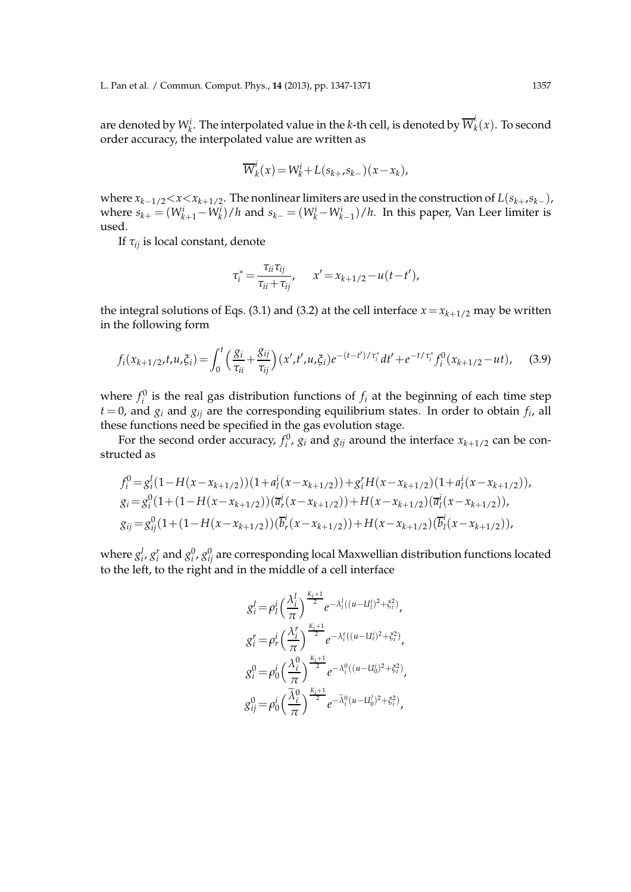are denoted by  $W_k^i$ . The interpolated value in the *k*-th cell, is denoted by  $\overline{W}_k^i$  $\int_k^{\infty}$  (*x*). To second order accuracy, the interpolated value are written as

$$
\overline{W}_k^i(x) = W_k^i + L(s_{k+}, s_{k-})(x - x_k),
$$

where  $x_{k-1/2}$  <  $x$  <  $x_{k+1/2}$ . The nonlinear limiters are used in the construction of  $L(s_{k+1}, s_{k-})$ , where  $s_{k+} = (W_{k+1}^i - W_k^i)/h$  and  $s_{k-} = (W_k^i - W_{k-1}^i)/h$ . In this paper, Van Leer limiter is used.

If *τij* is local constant, denote

$$
\tau_i^* = \frac{\tau_{ii}\tau_{ij}}{\tau_{ii} + \tau_{ij}}, \qquad x' = x_{k+1/2} - u(t-t'),
$$

the integral solutions of Eqs. (3.1) and (3.2) at the cell interface  $x = x_{k+1/2}$  may be written in the following form

$$
f_i(x_{k+1/2},t,u,\xi_i) = \int_0^t \left(\frac{g_i}{\tau_{ii}} + \frac{g_{ij}}{\tau_{ij}}\right)(x',t',u,\xi_i)e^{-(t-t')/\tau_i^*}dt' + e^{-t/\tau_i^*}f_i^0(x_{k+1/2} - ut),\tag{3.9}
$$

where  $f_i^0$  is the real gas distribution functions of  $f_i$  at the beginning of each time step  $t = 0$ , and  $g_i$  and  $g_{ij}$  are the corresponding equilibrium states. In order to obtain  $f_i$ , all these functions need be specified in the gas evolution stage.

For the second order accuracy,  $f_i^0$ ,  $g_i$  and  $g_{ij}$  around the interface  $x_{k+1/2}$  can be constructed as

$$
f_i^0 = g_i^1 (1 - H(x - x_{k+1/2}))(1 + a_i^i (x - x_{k+1/2})) + g_i^r H(x - x_{k+1/2})(1 + a_i^i (x - x_{k+1/2})),
$$
  
\n
$$
g_i = g_i^0 (1 + (1 - H(x - x_{k+1/2})) (\overline{a}_r^i (x - x_{k+1/2})) + H(x - x_{k+1/2}) (\overline{a}_i^i (x - x_{k+1/2})),
$$
  
\n
$$
g_{ij} = g_{ij}^0 (1 + (1 - H(x - x_{k+1/2})) (\overline{b}_r^i (x - x_{k+1/2})) + H(x - x_{k+1/2}) (\overline{b}_l^i (x - x_{k+1/2})),
$$

where  $g_i^l$ ,  $g_i^r$  and  $g_i^0$ ,  $g_{ij}^0$  are corresponding local Maxwellian distribution functions located to the left, to the right and in the middle of a cell interface

$$
g_i^l = \rho_l^i \left(\frac{\lambda_i^l}{\pi}\right)^{\frac{K_i+1}{2}} e^{-\lambda_i^l ((u-U_i^i)^2 + \xi_i^2)},
$$
  
\n
$$
g_i^r = \rho_r^i \left(\frac{\lambda_i^r}{\pi}\right)^{\frac{K_i+1}{2}} e^{-\lambda_i^r ((u-U_i^i)^2 + \xi_i^2)},
$$
  
\n
$$
g_i^0 = \rho_0^i \left(\frac{\lambda_i^0}{\pi}\right)^{\frac{K_i+1}{2}} e^{-\lambda_i^0 ((u-U_0^i)^2 + \xi_i^2)},
$$
  
\n
$$
g_{ij}^0 = \rho_0^i \left(\frac{\tilde{\lambda}_i^0}{\pi}\right)^{\frac{K_i+1}{2}} e^{-\tilde{\lambda}_i^0 (u-U_0^i)^2 + \xi_i^2},
$$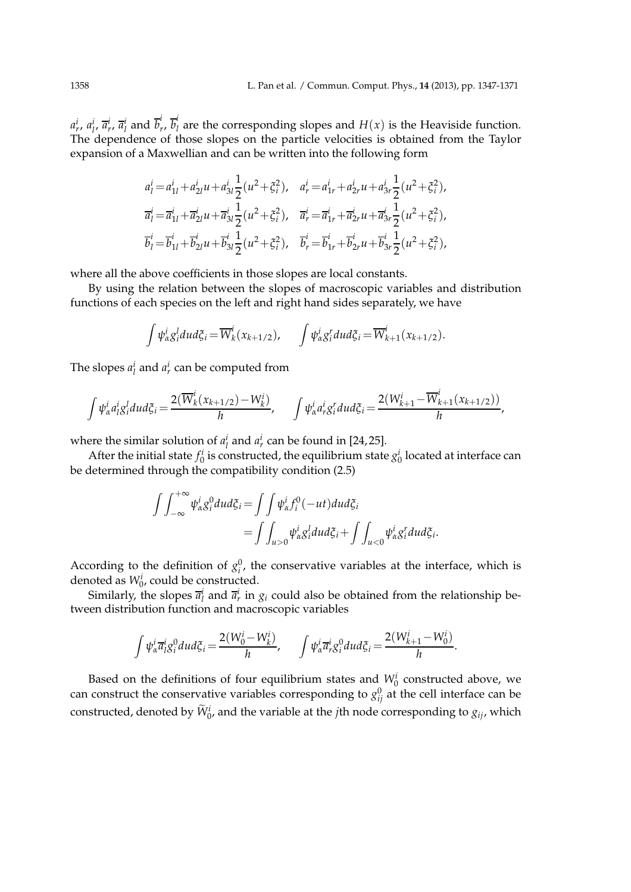$a_r^i$ ,  $a_l^i$ ,  $\overline{a}_r^i$ ,  $\overline{a}_l^i$  and  $\overline{b}_r^i$ *r* , *b i*  $\int_{l}$  are the corresponding slopes and  $H(x)$  is the Heaviside function. The dependence of those slopes on the particle velocities is obtained from the Taylor expansion of a Maxwellian and can be written into the following form

$$
a_l^i = a_{1l}^i + a_{2l}^i u + a_{3l}^i \frac{1}{2} (u^2 + \xi_i^2), \quad a_r^i = a_{1r}^i + a_{2r}^i u + a_{3r}^i \frac{1}{2} (u^2 + \xi_i^2),
$$
  
\n
$$
\overline{a}_l^i = \overline{a}_{1l}^i + \overline{a}_{2l}^i u + \overline{a}_{3l}^i \frac{1}{2} (u^2 + \xi_i^2), \quad \overline{a}_r^i = \overline{a}_{1r}^i + \overline{a}_{2r}^i u + \overline{a}_{3r}^i \frac{1}{2} (u^2 + \xi_i^2),
$$
  
\n
$$
\overline{b}_l^i = \overline{b}_{1l}^i + \overline{b}_{2l}^i u + \overline{b}_{3l}^i \frac{1}{2} (u^2 + \xi_i^2), \quad \overline{b}_r^i = \overline{b}_{1r}^i + \overline{b}_{2r}^i u + \overline{b}_{3r}^i \frac{1}{2} (u^2 + \xi_i^2),
$$

where all the above coefficients in those slopes are local constants.

By using the relation between the slopes of macroscopic variables and distribution functions of each species on the left and right hand sides separately, we have

$$
\int \psi_{\alpha}^{i} g_{i}^{l} du d\xi_{i} = \overline{W}_{k}^{i}(x_{k+1/2}), \qquad \int \psi_{\alpha}^{i} g_{i}^{r} du d\xi_{i} = \overline{W}_{k+1}^{i}(x_{k+1/2}).
$$

The slopes  $a_l^i$  and  $a_r^i$  can be computed from

$$
\int \psi_{\alpha}^i a_l^i g_i^l dud\xi_i = \frac{2(\overline{W}_k^i(x_{k+1/2}) - W_k^i)}{h}, \qquad \int \psi_{\alpha}^i a_r^i g_i^r dud\xi_i = \frac{2(W_{k+1}^i - \overline{W}_{k+1}^i(x_{k+1/2}))}{h},
$$

where the similar solution of  $a_l^i$  and  $a_r^i$  can be found in [24, 25].

After the initial state  $f_0^i$  is constructed, the equilibrium state  $g_0^i$  located at interface can be determined through the compatibility condition (2.5)

$$
\int \int_{-\infty}^{+\infty} \psi_{\alpha}^{i} g_{i}^{0} du d\xi_{i} = \int \int \psi_{\alpha}^{i} f_{i}^{0}(-ut) du d\xi_{i}
$$

$$
= \int \int_{u>0} \psi_{\alpha}^{i} g_{i}^{1} du d\xi_{i} + \int \int_{u<0} \psi_{\alpha}^{i} g_{i}^{r} du d\xi_{i}.
$$

According to the definition of  $g_i^0$ , the conservative variables at the interface, which is denoted as  $W_0^i$ , could be constructed.

Similarly, the slopes  $\overline{a}_l^i$  and  $\overline{a}_r^i$  in  $g_i$  could also be obtained from the relationship between distribution function and macroscopic variables

$$
\int \psi_{\alpha}^i \overline{a}_l^i g_i^0 du d\xi_i = \frac{2(W_0^i - W_k^i)}{h}, \qquad \int \psi_{\alpha}^i \overline{a}_r^i g_i^0 du d\xi_i = \frac{2(W_{k+1}^i - W_0^i)}{h}.
$$

Based on the definitions of four equilibrium states and  $W_0^i$  constructed above, we can construct the conservative variables corresponding to  $g_{ij}^0$  at the cell interface can be constructed, denoted by  $\widetilde{W}_{0}^{i}$ , and the variable at the *j*th node corresponding to  $g_{ij}$ , which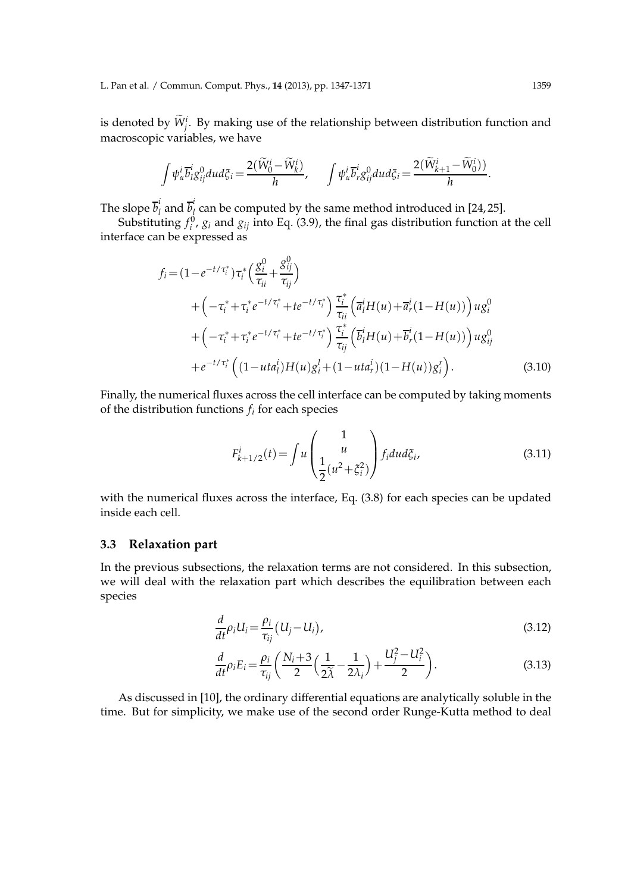is denoted by  $\widetilde{W}_{j}^{i}$ . By making use of the relationship between distribution function and macroscopic variables, we have

$$
\int \psi_{\alpha}^{i} \overline{b}_{l}^{i} g_{ij}^{0} du d\xi_{i} = \frac{2(\widetilde{W}_{0}^{i} - \widetilde{W}_{k}^{i})}{h}, \qquad \int \psi_{\alpha}^{i} \overline{b}_{r}^{i} g_{ij}^{0} du d\xi_{i} = \frac{2(\widetilde{W}_{k+1}^{i} - \widetilde{W}_{0}^{i})}{h}.
$$

The slope  $\overline{b}_{l}^{i}$  $\frac{i}{l}$  and  $\overline{b}_l^i$ *l* can be computed by the same method introduced in [24, 25].

Substituting  $f_i^0$ ,  $g_i$  and  $g_{ij}$  into Eq. (3.9), the final gas distribution function at the cell interface can be expressed as

$$
f_i = (1 - e^{-t/\tau_i^*})\tau_i^* \left(\frac{g_i^0}{\tau_{ii}} + \frac{g_{ij}^0}{\tau_{ij}}\right)
$$
  
+  $\left(-\tau_i^* + \tau_i^* e^{-t/\tau_i^*} + te^{-t/\tau_i^*}\right) \frac{\tau_i^*}{\tau_{ii}} \left(\overline{a}_l^i H(u) + \overline{a}_r^i (1 - H(u))\right) u g_i^0$   
+  $\left(-\tau_i^* + \tau_i^* e^{-t/\tau_i^*} + te^{-t/\tau_i^*}\right) \frac{\tau_i^*}{\tau_{ij}} \left(\overline{b}_l^i H(u) + \overline{b}_r^i (1 - H(u))\right) u g_{ij}^0$   
+  $e^{-t/\tau_i^*} \left((1 - uta_i^i) H(u) g_i^1 + (1 - uta_r^i)(1 - H(u)) g_i^r\right).$  (3.10)

Finally, the numerical fluxes across the cell interface can be computed by taking moments of the distribution functions *f<sup>i</sup>* for each species

$$
F_{k+1/2}^{i}(t) = \int u \begin{pmatrix} 1 \\ u \\ \frac{1}{2}(u^{2} + \zeta_{i}^{2}) \end{pmatrix} f_{i} du d\zeta_{i},
$$
 (3.11)

with the numerical fluxes across the interface, Eq. (3.8) for each species can be updated inside each cell.

#### **3.3 Relaxation part**

In the previous subsections, the relaxation terms are not considered. In this subsection, we will deal with the relaxation part which describes the equilibration between each species

$$
\frac{d}{dt}\rho_i U_i = \frac{\rho_i}{\tau_{ij}} (U_j - U_i),\tag{3.12}
$$

$$
\frac{d}{dt}\rho_i E_i = \frac{\rho_i}{\tau_{ij}} \left( \frac{N_i + 3}{2} \left( \frac{1}{2\tilde{\lambda}} - \frac{1}{2\lambda_i} \right) + \frac{U_j^2 - U_i^2}{2} \right).
$$
\n(3.13)

As discussed in [10], the ordinary differential equations are analytically soluble in the time. But for simplicity, we make use of the second order Runge-Kutta method to deal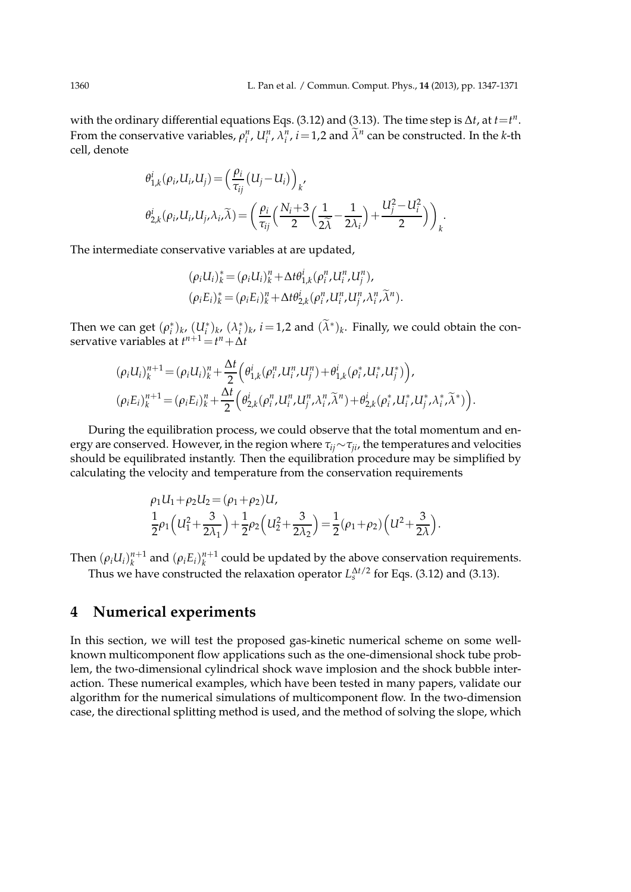with the ordinary differential equations Eqs. (3.12) and (3.13). The time step is  $\Delta t$ , at  $t=t^n$ . From the conservative variables,  $\rho_i^n$ ,  $U_i^n$ ,  $\lambda_i^n$ ,  $i=1,2$  and  $\tilde{\lambda}^n$  can be constructed. In the *k*-th cell, denote

$$
\theta_{1,k}^i(\rho_i, U_i, U_j) = \left(\frac{\rho_i}{\tau_{ij}}(U_j - U_i)\right)_k',
$$
  

$$
\theta_{2,k}^i(\rho_i, U_i, U_j, \lambda_i, \tilde{\lambda}) = \left(\frac{\rho_i}{\tau_{ij}}\left(\frac{N_i + 3}{2}\left(\frac{1}{2\tilde{\lambda}} - \frac{1}{2\lambda_i}\right) + \frac{U_j^2 - U_i^2}{2}\right)\right)_k.
$$

The intermediate conservative variables at are updated,

$$
(\rho_i U_i)_k^* = (\rho_i U_i)_k^n + \Delta t \theta_{1,k}^i (\rho_i^n, U_i^n, U_j^n),
$$
  
\n
$$
(\rho_i E_i)_k^* = (\rho_i E_i)_k^n + \Delta t \theta_{2,k}^i (\rho_i^n, U_i^n, U_j^n, \lambda_i^n, \tilde{\lambda}^n).
$$

Then we can get  $(\rho_i^*)_k$ ,  $(U_i^*)_k$ ,  $(\lambda_i^*)_k$ ,  $i=1,2$  and  $(\widetilde{\lambda}^*)_k$ . Finally, we could obtain the conservative variables at  $t^{n+1} = t^n + \Delta t$ 

$$
(\rho_i U_i)^{n+1}_{k} = (\rho_i U_i)^{n}_{k} + \frac{\Delta t}{2} \left( \theta_{1,k}^i (\rho_i^n, U_i^n, U_i^n) + \theta_{1,k}^i (\rho_i^*, U_i^*, U_j^*) \right),
$$
  
\n
$$
(\rho_i E_i)^{n+1}_{k} = (\rho_i E_i)^{n}_{k} + \frac{\Delta t}{2} \left( \theta_{2,k}^i (\rho_i^n, U_i^n, U_j^n, \lambda_i^n, \tilde{\lambda}^n) + \theta_{2,k}^i (\rho_i^*, U_i^*, U_j^*, \lambda_i^*, \tilde{\lambda}^*) \right).
$$

During the equilibration process, we could observe that the total momentum and energy are conserved. However, in the region where *τij*∼*τji*, the temperatures and velocities should be equilibrated instantly. Then the equilibration procedure may be simplified by calculating the velocity and temperature from the conservation requirements

$$
\rho_1 U_1 + \rho_2 U_2 = (\rho_1 + \rho_2) U,
$$
  
\n
$$
\frac{1}{2} \rho_1 \left( U_1^2 + \frac{3}{2\lambda_1} \right) + \frac{1}{2} \rho_2 \left( U_2^2 + \frac{3}{2\lambda_2} \right) = \frac{1}{2} (\rho_1 + \rho_2) \left( U^2 + \frac{3}{2\lambda} \right).
$$

Then  $(\rho_i U_i)^{n+1}_k$  $_{k}^{n+1}$  and  $(\rho_i E_i)_{k}^{n+1}$  $\kappa_k^{n+1}$  could be updated by the above conservation requirements. Thus we have constructed the relaxation operator  $L_s^{\Delta t/2}$  for Eqs. (3.12) and (3.13).

## **4 Numerical experiments**

In this section, we will test the proposed gas-kinetic numerical scheme on some wellknown multicomponent flow applications such as the one-dimensional shock tube problem, the two-dimensional cylindrical shock wave implosion and the shock bubble interaction. These numerical examples, which have been tested in many papers, validate our algorithm for the numerical simulations of multicomponent flow. In the two-dimension case, the directional splitting method is used, and the method of solving the slope, which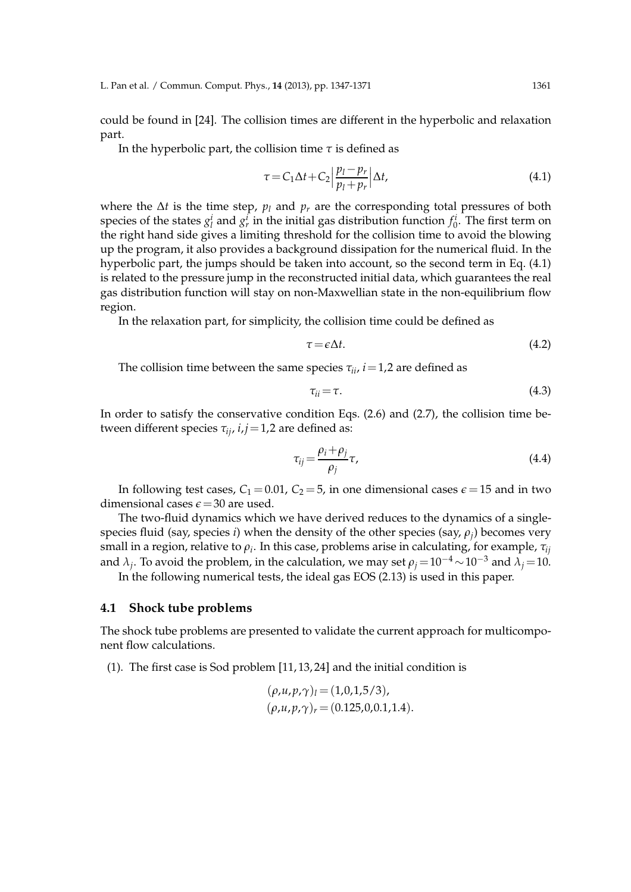could be found in [24]. The collision times are different in the hyperbolic and relaxation part.

In the hyperbolic part, the collision time *τ* is defined as

$$
\tau = C_1 \Delta t + C_2 \left| \frac{p_l - p_r}{p_l + p_r} \right| \Delta t,\tag{4.1}
$$

where the  $\Delta t$  is the time step,  $p_l$  and  $p_r$  are the corresponding total pressures of both species of the states  $g_l^i$  and  $g_r^i$  in the initial gas distribution function  $f_0^i$ . The first term on the right hand side gives a limiting threshold for the collision time to avoid the blowing up the program, it also provides a background dissipation for the numerical fluid. In the hyperbolic part, the jumps should be taken into account, so the second term in Eq. (4.1) is related to the pressure jump in the reconstructed initial data, which guarantees the real gas distribution function will stay on non-Maxwellian state in the non-equilibrium flow region.

In the relaxation part, for simplicity, the collision time could be defined as

$$
\tau = \epsilon \Delta t. \tag{4.2}
$$

The collision time between the same species  $\tau_{ii}$ ,  $i = 1,2$  are defined as

$$
\tau_{ii} = \tau. \tag{4.3}
$$

In order to satisfy the conservative condition Eqs. (2.6) and (2.7), the collision time between different species *τij*, *i*,*j*=1,2 are defined as:

$$
\tau_{ij} = \frac{\rho_i + \rho_j}{\rho_j} \tau,\tag{4.4}
$$

In following test cases,  $C_1 = 0.01$ ,  $C_2 = 5$ , in one dimensional cases  $\epsilon = 15$  and in two dimensional cases  $\epsilon$  = 30 are used.

The two-fluid dynamics which we have derived reduces to the dynamics of a singlespecies fluid (say, species *i*) when the density of the other species (say, *ρ<sup>j</sup>* ) becomes very small in a region, relative to  $\rho_i.$  In this case, problems arise in calculating, for example,  $\tau_{ij}$ and  $\lambda_j$ . To avoid the problem, in the calculation, we may set  $\rho_j$  =10<sup>-4</sup> ∼10<sup>-3</sup> and  $\lambda_j$  =10.

In the following numerical tests, the ideal gas EOS (2.13) is used in this paper.

#### **4.1 Shock tube problems**

The shock tube problems are presented to validate the current approach for multicomponent flow calculations.

(1). The first case is Sod problem [11, 13, 24] and the initial condition is

$$
(\rho, u, p, \gamma)_l = (1, 0, 1, 5/3),
$$
  

$$
(\rho, u, p, \gamma)_r = (0.125, 0, 0.1, 1.4).
$$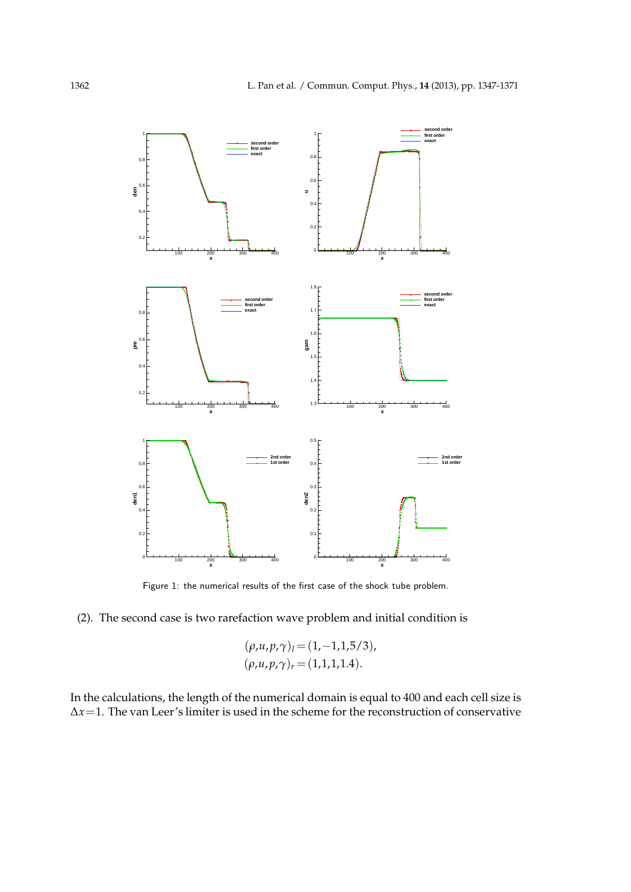

Figure 1: the numerical results of the first case of the shock tube problem.

### (2). The second case is two rarefaction wave problem and initial condition is

$$
(\rho, u, p, \gamma)_l = (1, -1, 1, 5/3),
$$
  

$$
(\rho, u, p, \gamma)_r = (1, 1, 1, 1.4).
$$

In the calculations, the length of the numerical domain is equal to 400 and each cell size is ∆*x*=1. The van Leer's limiter is used in the scheme for the reconstruction of conservative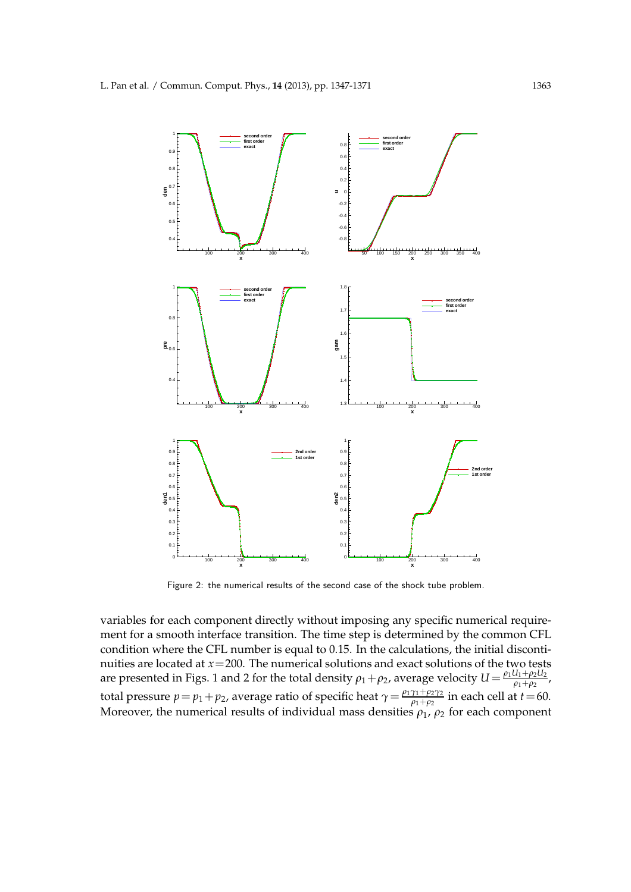

Figure 2: the numerical results of the second case of the shock tube problem.

variables for each component directly without imposing any specific numerical requirement for a smooth interface transition. The time step is determined by the common CFL condition where the CFL number is equal to 0.15. In the calculations, the initial discontinuities are located at *x*=200. The numerical solutions and exact solutions of the two tests are presented in Figs. 1 and 2 for the total density  $\rho_1 + \rho_2$ , average velocity  $U = \frac{\rho_1 U_1 + \rho_2 U_2}{\rho_1 + \rho_2}$  $\frac{\mu_1 + \mu_2 \mu_2}{\rho_1 + \rho_2}$ total pressure  $p = p_1 + p_2$ , average ratio of specific heat  $\gamma = \frac{\rho_1 \gamma_1 + \rho_2 \gamma_2}{\rho_1 + \rho_2}$  $\frac{\gamma_1+\rho_2\gamma_2}{\rho_1+\rho_2}$  in each cell at *t* = 60. Moreover, the numerical results of individual mass densities *ρ*1, *ρ*<sup>2</sup> for each component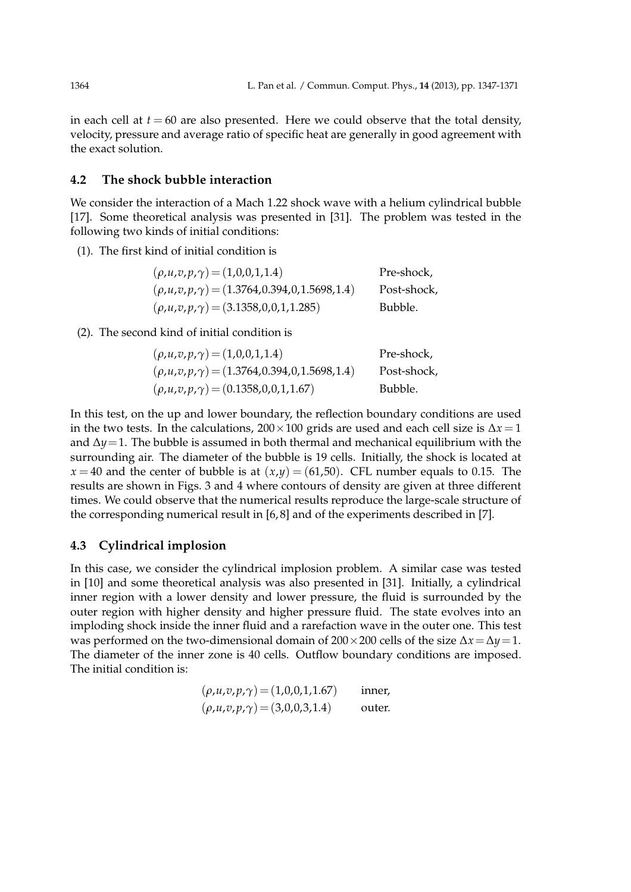in each cell at  $t = 60$  are also presented. Here we could observe that the total density, velocity, pressure and average ratio of specific heat are generally in good agreement with the exact solution.

## **4.2 The shock bubble interaction**

We consider the interaction of a Mach 1.22 shock wave with a helium cylindrical bubble [17]. Some theoretical analysis was presented in [31]. The problem was tested in the following two kinds of initial conditions:

(1). The first kind of initial condition is

| $(\rho, u, v, p, \gamma) = (1, 0, 0, 1, 1.4)$               | Pre-shock,  |
|-------------------------------------------------------------|-------------|
| $(\rho, u, v, p, \gamma) = (1.3764, 0.394, 0, 1.5698, 1.4)$ | Post-shock, |
| $(\rho, u, v, p, \gamma) = (3.1358, 0, 0, 1, 1.285)$        | Bubble.     |

### (2). The second kind of initial condition is

| $(\rho, u, v, p, \gamma) = (1, 0, 0, 1, 1.4)$               | Pre-shock,  |
|-------------------------------------------------------------|-------------|
| $(\rho, u, v, p, \gamma) = (1.3764, 0.394, 0, 1.5698, 1.4)$ | Post-shock, |
| $(\rho, u, v, p, \gamma) = (0.1358, 0, 0, 1, 1.67)$         | Bubble.     |

In this test, on the up and lower boundary, the reflection boundary conditions are used in the two tests. In the calculations,  $200 \times 100$  grids are used and each cell size is  $\Delta x = 1$ and ∆*y*=1. The bubble is assumed in both thermal and mechanical equilibrium with the surrounding air. The diameter of the bubble is 19 cells. Initially, the shock is located at  $x = 40$  and the center of bubble is at  $(x,y) = (61,50)$ . CFL number equals to 0.15. The results are shown in Figs. 3 and 4 where contours of density are given at three different times. We could observe that the numerical results reproduce the large-scale structure of the corresponding numerical result in [6, 8] and of the experiments described in [7].

### **4.3 Cylindrical implosion**

In this case, we consider the cylindrical implosion problem. A similar case was tested in [10] and some theoretical analysis was also presented in [31]. Initially, a cylindrical inner region with a lower density and lower pressure, the fluid is surrounded by the outer region with higher density and higher pressure fluid. The state evolves into an imploding shock inside the inner fluid and a rarefaction wave in the outer one. This test was performed on the two-dimensional domain of 200×200 cells of the size ∆*x*=∆*y*=1. The diameter of the inner zone is 40 cells. Outflow boundary conditions are imposed. The initial condition is:

| $(\rho, u, v, p, \gamma) = (1, 0, 0, 1, 1.67)$ | inner, |
|------------------------------------------------|--------|
| $(\rho, u, v, p, \gamma) = (3, 0, 0, 3, 1.4)$  | outer. |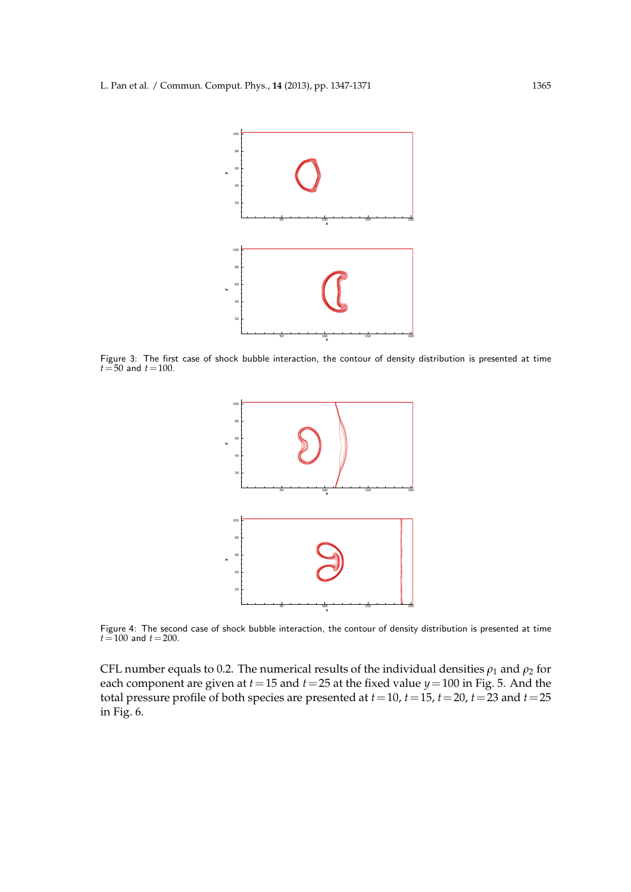

Figure 3: The first case of shock bubble interaction, the contour of density distribution is presented at time  $t = 50$  and  $t = 100$ .



Figure 4: The second case of shock bubble interaction, the contour of density distribution is presented at time  $t = 100$  and  $t = 200$ .

CFL number equals to 0.2. The numerical results of the individual densities  $\rho_1$  and  $\rho_2$  for each component are given at  $t = 15$  and  $t = 25$  at the fixed value  $y = 100$  in Fig. 5. And the total pressure profile of both species are presented at  $t = 10$ ,  $t = 15$ ,  $t = 20$ ,  $t = 23$  and  $t = 25$ in Fig. 6.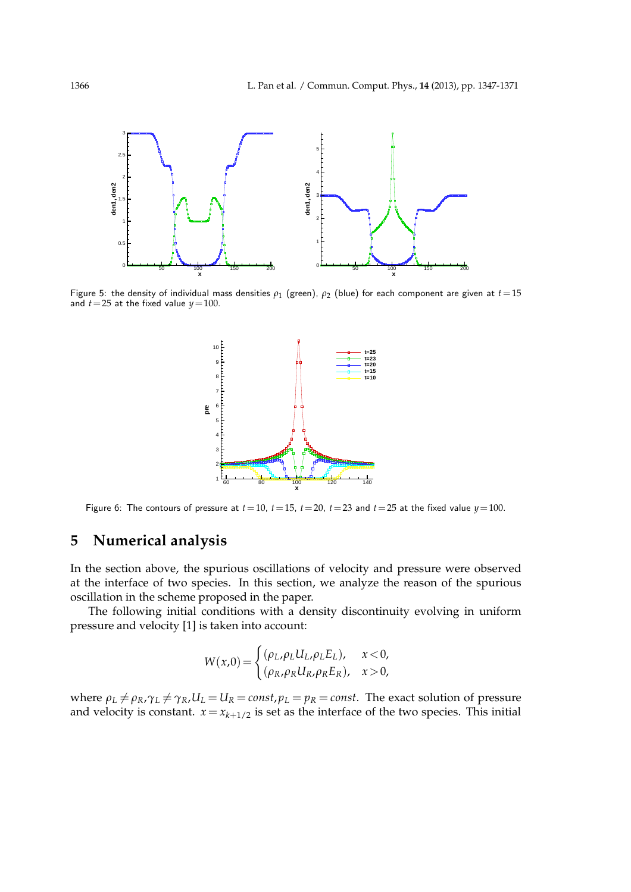

Figure 5: the density of individual mass densities  $\rho_1$  (green),  $\rho_2$  (blue) for each component are given at  $t\!=\!15$ and  $t=25$  at the fixed value  $y=100$ .



Figure 6: The contours of pressure at  $t=10$ ,  $t=15$ ,  $t=20$ ,  $t=23$  and  $t=25$  at the fixed value  $y=100$ .

## **5 Numerical analysis**

In the section above, the spurious oscillations of velocity and pressure were observed at the interface of two species. In this section, we analyze the reason of the spurious oscillation in the scheme proposed in the paper.

The following initial conditions with a density discontinuity evolving in uniform pressure and velocity [1] is taken into account:

$$
W(x,0) = \begin{cases} (\rho_L, \rho_L U_L, \rho_L E_L), & x < 0, \\ (\rho_R, \rho_R U_R, \rho_R E_R), & x > 0, \end{cases}
$$

where  $\rho_L \neq \rho_R$ ,  $\gamma_L \neq \gamma_R$ ,  $U_L = U_R = const$ ,  $p_L = p_R = const$ . The exact solution of pressure and velocity is constant.  $x = x_{k+1/2}$  is set as the interface of the two species. This initial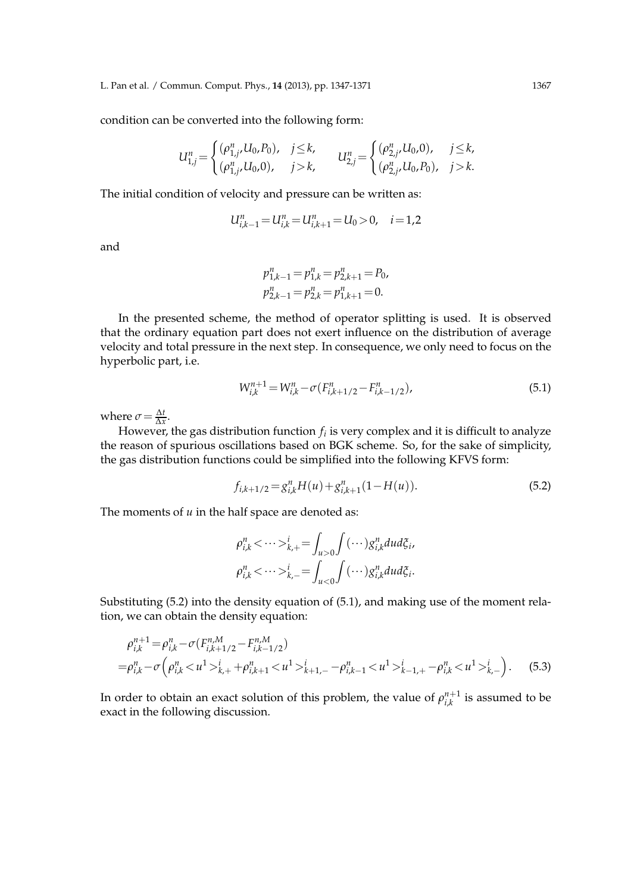condition can be converted into the following form:

$$
U_{1,j}^n = \begin{cases} (\rho_{1,j}^n, U_0, P_0), & j \le k, \\ (\rho_{1,j}^n, U_0, 0), & j > k, \end{cases} \qquad U_{2,j}^n = \begin{cases} (\rho_{2,j}^n, U_0, 0), & j \le k, \\ (\rho_{2,j}^n, U_0, P_0), & j > k. \end{cases}
$$

The initial condition of velocity and pressure can be written as:

$$
U_{i,k-1}^n = U_{i,k}^n = U_{i,k+1}^n = U_0 > 0, \quad i = 1,2
$$

and

$$
p_{1,k-1}^n = p_{1,k}^n = p_{2,k+1}^n = P_0,
$$
  

$$
p_{2,k-1}^n = p_{2,k}^n = p_{1,k+1}^n = 0.
$$

In the presented scheme, the method of operator splitting is used. It is observed that the ordinary equation part does not exert influence on the distribution of average velocity and total pressure in the next step. In consequence, we only need to focus on the hyperbolic part, i.e.

$$
W_{i,k}^{n+1} = W_{i,k}^n - \sigma(F_{i,k+1/2}^n - F_{i,k-1/2}^n),
$$
\n(5.1)

where  $\sigma = \frac{\Delta t}{\Delta x}$ .

However, the gas distribution function  $f_i$  is very complex and it is difficult to analyze the reason of spurious oscillations based on BGK scheme. So, for the sake of simplicity, the gas distribution functions could be simplified into the following KFVS form:

$$
f_{i,k+1/2} = g_{i,k}^n H(u) + g_{i,k+1}^n (1 - H(u)).
$$
\n(5.2)

The moments of *u* in the half space are denoted as:

$$
\rho_{i,k}^n < \cdots >_{k,+}^i = \int_{u>0} \int (\cdots) g_{i,k}^n du d\xi_i,
$$
  

$$
\rho_{i,k}^n < \cdots >_{k,-}^i = \int_{u<0} \int (\cdots) g_{i,k}^n du d\xi_i.
$$

Substituting (5.2) into the density equation of (5.1), and making use of the moment relation, we can obtain the density equation:

$$
\rho_{i,k}^{n+1} = \rho_{i,k}^n - \sigma(F_{i,k+1/2}^{n,M} - F_{i,k-1/2}^{n,M})
$$
  
= 
$$
\rho_{i,k}^n - \sigma\left(\rho_{i,k}^n < u^1 >_{k+1}^i + \rho_{i,k+1}^n < u^1 >_{k+1}^i - \rho_{i,k-1}^n < u^1 >_{k-1}^i + \rho_{i,k}^n < u^1 >_{k-1}^i\right).
$$
 (5.3)

In order to obtain an exact solution of this problem, the value of  $\rho_{i,k}^{n+1}$  $\sum_{i,k}^{n+1}$  is assumed to be exact in the following discussion.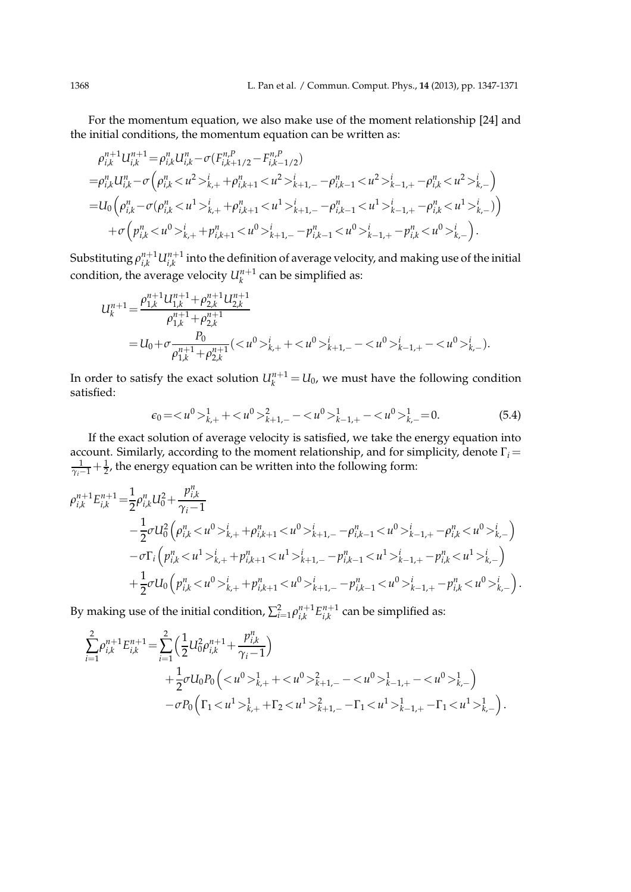For the momentum equation, we also make use of the moment relationship [24] and the initial conditions, the momentum equation can be written as:

$$
\rho_{i,k}^{n+1}U_{i,k}^{n+1} = \rho_{i,k}^{n}U_{i,k}^{n} - \sigma(F_{i,k+1/2}^{n,P} - F_{i,k-1/2}^{n,P})
$$
  
\n
$$
= \rho_{i,k}^{n}U_{i,k}^{n} - \sigma\left(\rho_{i,k}^{n} < u^{2} >_{k+1}^{i} + \rho_{i,k+1}^{n} < u^{2} >_{k+1,-}^{i} - \rho_{i,k-1}^{n} < u^{2} >_{k-1,+}^{i} - \rho_{i,k}^{n} < u^{2} >_{k,-}^{i}\right)
$$
  
\n
$$
= U_{0}\left(\rho_{i,k}^{n} - \sigma(\rho_{i,k}^{n} < u^{1} >_{k+1}^{i} + \rho_{i,k+1}^{n} < u^{1} >_{k+1,-}^{i} - \rho_{i,k-1}^{n} < u^{1} >_{k-1,+}^{i} - \rho_{i,k}^{n} < u^{1} >_{k,-}^{i}\right)
$$
  
\n
$$
+ \sigma\left(\rho_{i,k}^{n} < u^{0} >_{k,+}^{i} + \rho_{i,k+1}^{n} < u^{0} >_{k+1,-}^{i} - \rho_{i,k-1}^{n} < u^{0} >_{k-1,+}^{i} - \rho_{i,k}^{n} < u^{0} >_{k,-}^{i}\right).
$$

 $\text{Substituting } \rho_{i,k}^{n+1}U_{i,k}^{n+1}$  $\prod_{i,k}^{n+1}$  into the definition of average velocity, and making use of the initial condition, the average velocity  $U_k^{n+1}$  $\binom{n+1}{k}$  can be simplified as:

$$
U_k^{n+1} = \frac{\rho_{1,k}^{n+1} U_{1,k}^{n+1} + \rho_{2,k}^{n+1} U_{2,k}^{n+1}}{\rho_{1,k}^{n+1} + \rho_{2,k}^{n+1}} \\
= U_0 + \sigma \frac{P_0}{\rho_{1,k}^{n+1} + \rho_{2,k}^{n+1}} \left( \langle u^0 \rangle_{k,+}^i + \langle u^0 \rangle_{k+1,-}^i - \langle u^0 \rangle_{k-1,+}^i - \langle u^0 \rangle_{k,-}^i \right).
$$

In order to satisfy the exact solution  $U_k^{n+1} = U_0$ , we must have the following condition satisfied:

$$
\epsilon_0 = \langle u^0 \rangle_{k,+}^1 + \langle u^0 \rangle_{k+1,-}^2 - \langle u^0 \rangle_{k-1,+}^1 - \langle u^0 \rangle_{k,-}^1 = 0. \tag{5.4}
$$

If the exact solution of average velocity is satisfied, we take the energy equation into account. Similarly, according to the moment relationship, and for simplicity, denote Γ*<sup>i</sup>* =  $\frac{1}{\gamma_i-1}+\frac{1}{2}$ , the energy equation can be written into the following form:

$$
\rho_{i,k}^{n+1} E_{i,k}^{n+1} = \frac{1}{2} \rho_{i,k}^n U_0^2 + \frac{p_{i,k}^n}{\gamma_i - 1} \n- \frac{1}{2} \sigma U_0^2 \left( \rho_{i,k}^n < u^0 >_{k+1}^i + \rho_{i,k+1}^n < u^0 >_{k+1,-}^i - \rho_{i,k-1}^n < u^0 >_{k-1,+}^i - \rho_{i,k}^n < u^0 >_{k,-}^i \right) \n- \sigma \Gamma_i \left( p_{i,k}^n < u^1 >_{k+1}^i + p_{i,k+1}^n < u^1 >_{k+1,-}^i - p_{i,k-1}^n < u^1 >_{k-1,+}^i - p_{i,k}^n < u^1 >_{k,-}^i \right) \n+ \frac{1}{2} \sigma U_0 \left( p_{i,k}^n < u^0 >_{k+1}^i + p_{i,k+1}^n < u^0 >_{k+1,-}^i - p_{i,k-1}^n < u^0 >_{k-1,+}^i - p_{i,k}^n < u^0 >_{k,-}^i \right).
$$

By making use of the initial condition,  $\sum_{i=1}^{2} \rho_{i,k}^{n+1}$  $i, k$ <sup>1</sup> $E_{i,k}^{n+1}$  $\sum_{i,k}^{n+1}$  can be simplified as:

$$
\sum_{i=1}^{2} \rho_{i,k}^{n+1} E_{i,k}^{n+1} = \sum_{i=1}^{2} \left( \frac{1}{2} U_0^2 \rho_{i,k}^{n+1} + \frac{p_{i,k}^n}{\gamma_i - 1} \right) \n+ \frac{1}{2} \sigma U_0 P_0 \left( \langle u^0 \rangle_{k,+}^1 + \langle u^0 \rangle_{k+1,-}^2 - \langle u^0 \rangle_{k-1,+}^1 - \langle u^0 \rangle_{k,-}^1 \right) \n- \sigma P_0 \left( \Gamma_1 \langle u^1 \rangle_{k,+}^1 + \Gamma_2 \langle u^1 \rangle_{k+1,-}^2 - \Gamma_1 \langle u^1 \rangle_{k-1,+}^1 - \Gamma_1 \langle u^1 \rangle_{k,-}^1 \right).
$$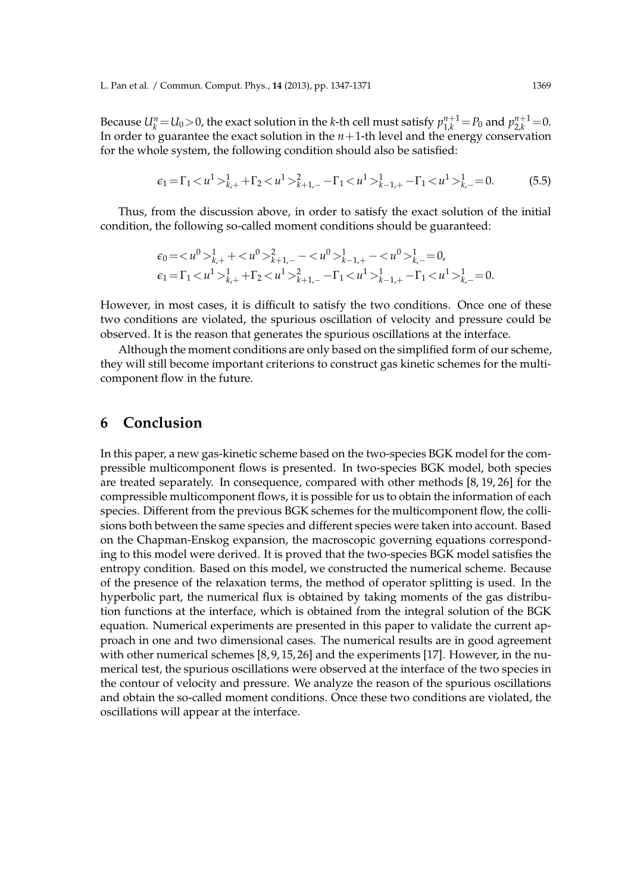Because  $U_k^n = U_0 > 0$ , the exact solution in the *k*-th cell must satisfy  $p_{1,k}^{n+1} = P_0$  and  $p_{2,k}^{n+1} = 0$ . In order to guarantee the exact solution in the  $n+1$ -th level and the energy conservation for the whole system, the following condition should also be satisfied:

$$
\epsilon_1 = \Gamma_1 < u^1 > \frac{1}{k_+} + \Gamma_2 < u^1 > \frac{2}{k_+} - \Gamma_1 < u^1 > \frac{1}{k_-} - \Gamma_1 < u^1 > \frac{1}{k_-} = 0. \tag{5.5}
$$

Thus, from the discussion above, in order to satisfy the exact solution of the initial condition, the following so-called moment conditions should be guaranteed:

$$
\epsilon_0 = \langle u^0 \rangle^1_{k,+} + \langle u^0 \rangle^2_{k+1,-} - \langle u^0 \rangle^1_{k-1,+} - \langle u^0 \rangle^1_{k,-} = 0,
$$
  
\n
$$
\epsilon_1 = \Gamma_1 \langle u^1 \rangle^1_{k,+} + \Gamma_2 \langle u^1 \rangle^2_{k+1,-} - \Gamma_1 \langle u^1 \rangle^1_{k-1,+} - \Gamma_1 \langle u^1 \rangle^1_{k,-} = 0.
$$

However, in most cases, it is difficult to satisfy the two conditions. Once one of these two conditions are violated, the spurious oscillation of velocity and pressure could be observed. It is the reason that generates the spurious oscillations at the interface.

Although the moment conditions are only based on the simplified form of our scheme, they will still become important criterions to construct gas kinetic schemes for the multicomponent flow in the future.

## **6 Conclusion**

In this paper, a new gas-kinetic scheme based on the two-species BGK model for the compressible multicomponent flows is presented. In two-species BGK model, both species are treated separately. In consequence, compared with other methods [8, 19, 26] for the compressible multicomponent flows, it is possible for us to obtain the information of each species. Different from the previous BGK schemes for the multicomponent flow, the collisions both between the same species and different species were taken into account. Based on the Chapman-Enskog expansion, the macroscopic governing equations corresponding to this model were derived. It is proved that the two-species BGK model satisfies the entropy condition. Based on this model, we constructed the numerical scheme. Because of the presence of the relaxation terms, the method of operator splitting is used. In the hyperbolic part, the numerical flux is obtained by taking moments of the gas distribution functions at the interface, which is obtained from the integral solution of the BGK equation. Numerical experiments are presented in this paper to validate the current approach in one and two dimensional cases. The numerical results are in good agreement with other numerical schemes  $[8, 9, 15, 26]$  and the experiments [17]. However, in the numerical test, the spurious oscillations were observed at the interface of the two species in the contour of velocity and pressure. We analyze the reason of the spurious oscillations and obtain the so-called moment conditions. Once these two conditions are violated, the oscillations will appear at the interface.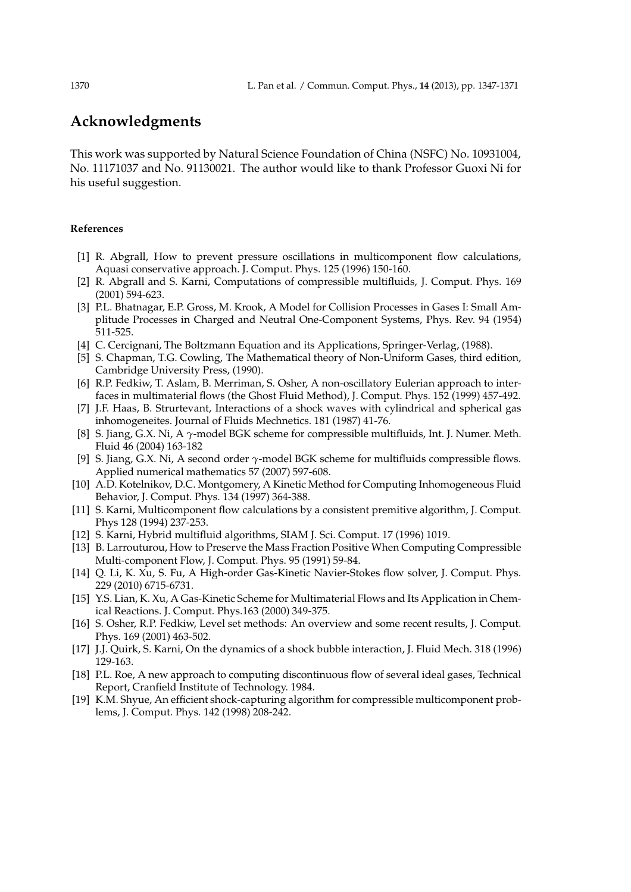## **Acknowledgments**

This work was supported by Natural Science Foundation of China (NSFC) No. 10931004, No. 11171037 and No. 91130021. The author would like to thank Professor Guoxi Ni for his useful suggestion.

### **References**

- [1] R. Abgrall, How to prevent pressure oscillations in multicomponent flow calculations, Aquasi conservative approach. J. Comput. Phys. 125 (1996) 150-160.
- [2] R. Abgrall and S. Karni, Computations of compressible multifluids, J. Comput. Phys. 169 (2001) 594-623.
- [3] P.L. Bhatnagar, E.P. Gross, M. Krook, A Model for Collision Processes in Gases I: Small Amplitude Processes in Charged and Neutral One-Component Systems, Phys. Rev. 94 (1954) 511-525.
- [4] C. Cercignani, The Boltzmann Equation and its Applications, Springer-Verlag, (1988).
- [5] S. Chapman, T.G. Cowling, The Mathematical theory of Non-Uniform Gases, third edition, Cambridge University Press, (1990).
- [6] R.P. Fedkiw, T. Aslam, B. Merriman, S. Osher, A non-oscillatory Eulerian approach to interfaces in multimaterial flows (the Ghost Fluid Method), J. Comput. Phys. 152 (1999) 457-492.
- [7] J.F. Haas, B. Strurtevant, Interactions of a shock waves with cylindrical and spherical gas inhomogeneites. Journal of Fluids Mechnetics. 181 (1987) 41-76.
- [8] S. Jiang, G.X. Ni, A *γ*-model BGK scheme for compressible multifluids, Int. J. Numer. Meth. Fluid 46 (2004) 163-182
- [9] S. Jiang, G.X. Ni, A second order *γ*-model BGK scheme for multifluids compressible flows. Applied numerical mathematics 57 (2007) 597-608.
- [10] A.D. Kotelnikov, D.C. Montgomery, A Kinetic Method for Computing Inhomogeneous Fluid Behavior, J. Comput. Phys. 134 (1997) 364-388.
- [11] S. Karni, Multicomponent flow calculations by a consistent premitive algorithm, J. Comput. Phys 128 (1994) 237-253.
- [12] S. Karni, Hybrid multifluid algorithms, SIAM J. Sci. Comput. 17 (1996) 1019.
- [13] B. Larrouturou, How to Preserve the Mass Fraction Positive When Computing Compressible Multi-component Flow, J. Comput. Phys. 95 (1991) 59-84.
- [14] Q. Li, K. Xu, S. Fu, A High-order Gas-Kinetic Navier-Stokes flow solver, J. Comput. Phys. 229 (2010) 6715-6731.
- [15] Y.S. Lian, K. Xu, A Gas-Kinetic Scheme for Multimaterial Flows and Its Application in Chemical Reactions. J. Comput. Phys.163 (2000) 349-375.
- [16] S. Osher, R.P. Fedkiw, Level set methods: An overview and some recent results, J. Comput. Phys. 169 (2001) 463-502.
- [17] J.J. Quirk, S. Karni, On the dynamics of a shock bubble interaction, J. Fluid Mech. 318 (1996) 129-163.
- [18] P.L. Roe, A new approach to computing discontinuous flow of several ideal gases, Technical Report, Cranfield Institute of Technology. 1984.
- [19] K.M. Shyue, An efficient shock-capturing algorithm for compressible multicomponent problems, J. Comput. Phys. 142 (1998) 208-242.